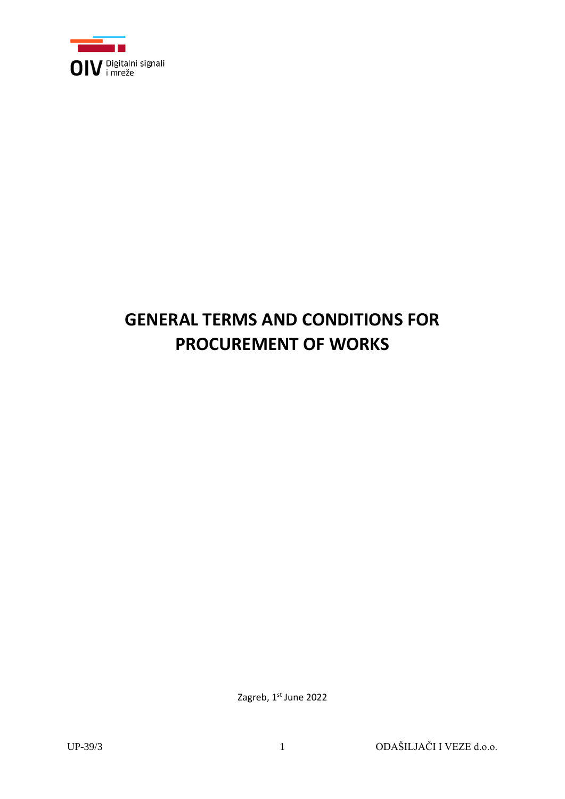

# **GENERAL TERMS AND CONDITIONS FOR PROCUREMENT OF WORKS**

Zagreb, 1st June 2022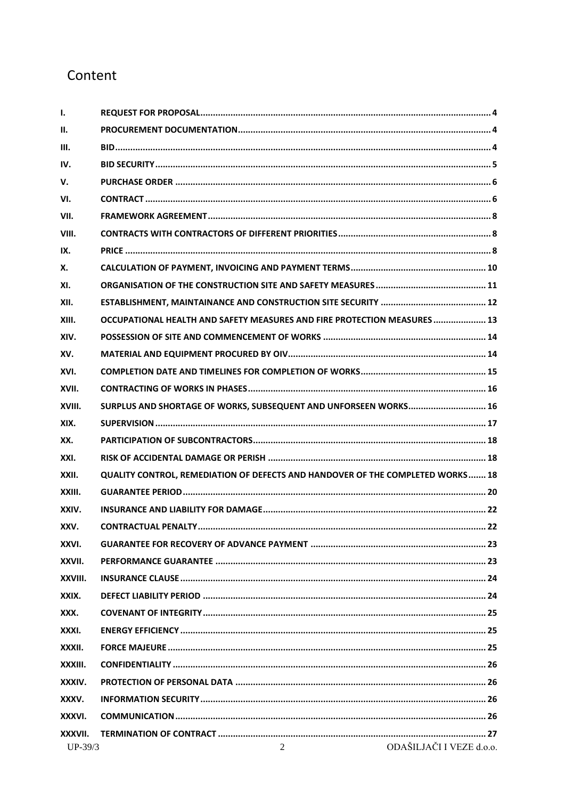# Content

| ı.        |                                                                                |
|-----------|--------------------------------------------------------------------------------|
| Н.        |                                                                                |
| Ш.        |                                                                                |
| IV.       |                                                                                |
| V.        |                                                                                |
| VI.       |                                                                                |
| VII.      |                                                                                |
| VIII.     |                                                                                |
| IX.       |                                                                                |
| Х.        |                                                                                |
| XI.       |                                                                                |
| XII.      |                                                                                |
| XIII.     | OCCUPATIONAL HEALTH AND SAFETY MEASURES AND FIRE PROTECTION MEASURES  13       |
| XIV.      |                                                                                |
| XV.       |                                                                                |
| XVI.      |                                                                                |
| XVII.     |                                                                                |
| XVIII.    | SURPLUS AND SHORTAGE OF WORKS, SUBSEQUENT AND UNFORSEEN WORKS 16               |
| XIX.      |                                                                                |
| XX.       |                                                                                |
| XXI.      |                                                                                |
| XXII.     | QUALITY CONTROL, REMEDIATION OF DEFECTS AND HANDOVER OF THE COMPLETED WORKS 18 |
| XXIII.    |                                                                                |
| XXIV.     |                                                                                |
| XXV.      |                                                                                |
| XXVI.     |                                                                                |
| XXVII.    |                                                                                |
| XXVIII.   |                                                                                |
| XXIX.     |                                                                                |
| XXX.      |                                                                                |
| XXXI.     |                                                                                |
| XXXII.    |                                                                                |
| XXXIII.   |                                                                                |
| XXXIV.    |                                                                                |
| XXXV.     |                                                                                |
| XXXVI.    |                                                                                |
| XXXVII.   |                                                                                |
| $UP-39/3$ | ODAŠILJAČI I VEZE d.o.o.<br>$\overline{2}$                                     |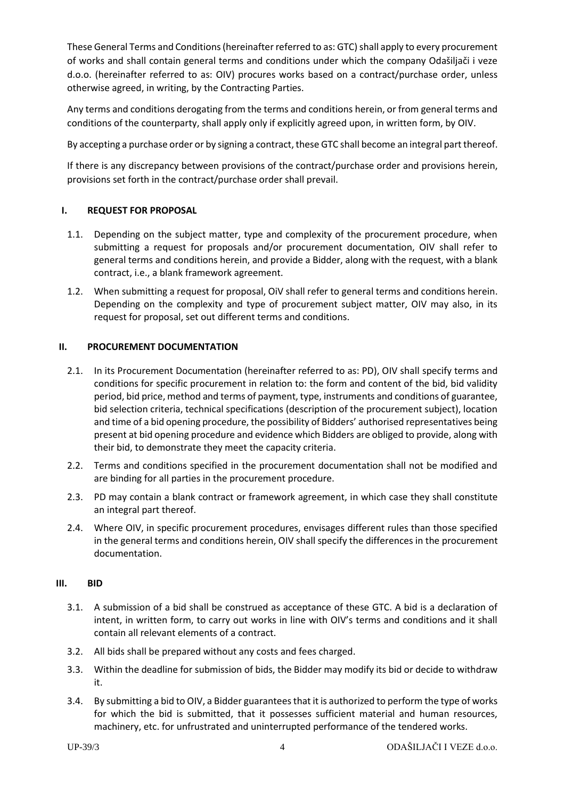These General Terms and Conditions (hereinafter referred to as: GTC) shall apply to every procurement of works and shall contain general terms and conditions under which the company Odašiljači i veze d.o.o. (hereinafter referred to as: OIV) procures works based on a contract/purchase order, unless otherwise agreed, in writing, by the Contracting Parties.

Any terms and conditions derogating from the terms and conditions herein, or from general terms and conditions of the counterparty, shall apply only if explicitly agreed upon, in written form, by OIV.

By accepting a purchase order or by signing a contract, these GTC shall become an integral part thereof.

If there is any discrepancy between provisions of the contract/purchase order and provisions herein, provisions set forth in the contract/purchase order shall prevail.

# <span id="page-3-0"></span>**I. REQUEST FOR PROPOSAL**

- 1.1. Depending on the subject matter, type and complexity of the procurement procedure, when submitting a request for proposals and/or procurement documentation, OIV shall refer to general terms and conditions herein, and provide a Bidder, along with the request, with a blank contract, i.e., a blank framework agreement.
- 1.2. When submitting a request for proposal, OiV shall refer to general terms and conditions herein. Depending on the complexity and type of procurement subject matter, OIV may also, in its request for proposal, set out different terms and conditions.

# <span id="page-3-1"></span>**II. PROCUREMENT DOCUMENTATION**

- 2.1. In its Procurement Documentation (hereinafter referred to as: PD), OIV shall specify terms and conditions for specific procurement in relation to: the form and content of the bid, bid validity period, bid price, method and terms of payment, type, instruments and conditions of guarantee, bid selection criteria, technical specifications (description of the procurement subject), location and time of a bid opening procedure, the possibility of Bidders' authorised representatives being present at bid opening procedure and evidence which Bidders are obliged to provide, along with their bid, to demonstrate they meet the capacity criteria.
- 2.2. Terms and conditions specified in the procurement documentation shall not be modified and are binding for all parties in the procurement procedure.
- 2.3. PD may contain a blank contract or framework agreement, in which case they shall constitute an integral part thereof.
- 2.4. Where OIV, in specific procurement procedures, envisages different rules than those specified in the general terms and conditions herein, OIV shall specify the differences in the procurement documentation.

#### <span id="page-3-2"></span>**III. BID**

- 3.1. A submission of a bid shall be construed as acceptance of these GTC. A bid is a declaration of intent, in written form, to carry out works in line with OIV's terms and conditions and it shall contain all relevant elements of a contract.
- 3.2. All bids shall be prepared without any costs and fees charged.
- 3.3. Within the deadline for submission of bids, the Bidder may modify its bid or decide to withdraw it.
- 3.4. By submitting a bid to OIV, a Bidder guarantees that it is authorized to perform the type of works for which the bid is submitted, that it possesses sufficient material and human resources, machinery, etc. for unfrustrated and uninterrupted performance of the tendered works.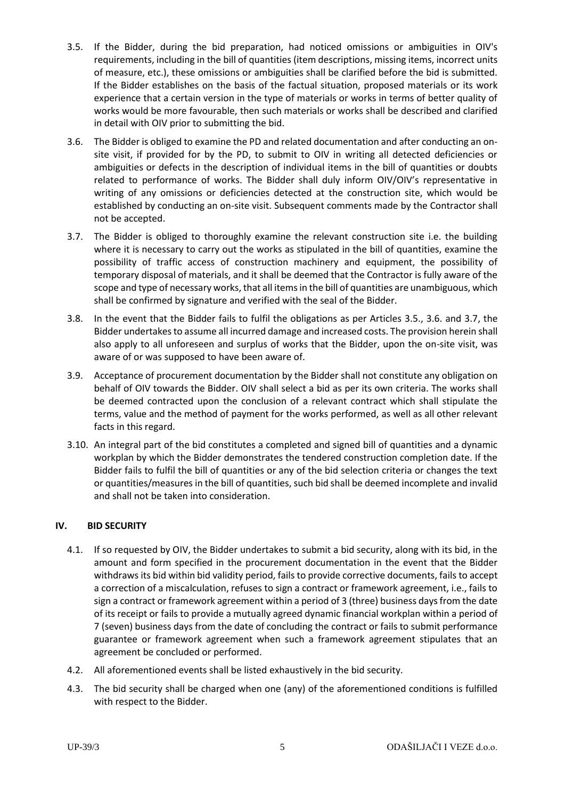- <span id="page-4-1"></span>3.5. If the Bidder, during the bid preparation, had noticed omissions or ambiguities in OIV's requirements, including in the bill of quantities (item descriptions, missing items, incorrect units of measure, etc.), these omissions or ambiguities shall be clarified before the bid is submitted. If the Bidder establishes on the basis of the factual situation, proposed materials or its work experience that a certain version in the type of materials or works in terms of better quality of works would be more favourable, then such materials or works shall be described and clarified in detail with OIV prior to submitting the bid.
- <span id="page-4-2"></span>3.6. The Bidder is obliged to examine the PD and related documentation and after conducting an onsite visit, if provided for by the PD, to submit to OIV in writing all detected deficiencies or ambiguities or defects in the description of individual items in the bill of quantities or doubts related to performance of works. The Bidder shall duly inform OIV/OIV's representative in writing of any omissions or deficiencies detected at the construction site, which would be established by conducting an on-site visit. Subsequent comments made by the Contractor shall not be accepted.
- <span id="page-4-3"></span>3.7. The Bidder is obliged to thoroughly examine the relevant construction site i.e. the building where it is necessary to carry out the works as stipulated in the bill of quantities, examine the possibility of traffic access of construction machinery and equipment, the possibility of temporary disposal of materials, and it shall be deemed that the Contractor is fully aware of the scope and type of necessary works, that all items in the bill of quantities are unambiguous, which shall be confirmed by signature and verified with the seal of the Bidder.
- 3.8. In the event that the Bidder fails to fulfil the obligations as per Articles [3.5.](#page-4-1), [3.6.](#page-4-2) and [3.7,](#page-4-3) the Bidder undertakes to assume all incurred damage and increased costs. The provision herein shall also apply to all unforeseen and surplus of works that the Bidder, upon the on-site visit, was aware of or was supposed to have been aware of.
- 3.9. Acceptance of procurement documentation by the Bidder shall not constitute any obligation on behalf of OIV towards the Bidder. OIV shall select a bid as per its own criteria. The works shall be deemed contracted upon the conclusion of a relevant contract which shall stipulate the terms, value and the method of payment for the works performed, as well as all other relevant facts in this regard.
- 3.10. An integral part of the bid constitutes a completed and signed bill of quantities and a dynamic workplan by which the Bidder demonstrates the tendered construction completion date. If the Bidder fails to fulfil the bill of quantities or any of the bid selection criteria or changes the text or quantities/measures in the bill of quantities, such bid shall be deemed incomplete and invalid and shall not be taken into consideration.

# <span id="page-4-0"></span>**IV. BID SECURITY**

- 4.1. If so requested by OIV, the Bidder undertakes to submit a bid security, along with its bid, in the amount and form specified in the procurement documentation in the event that the Bidder withdraws its bid within bid validity period, fails to provide corrective documents, fails to accept a correction of a miscalculation, refuses to sign a contract or framework agreement, i.e., fails to sign a contract or framework agreement within a period of 3 (three) business days from the date of its receipt or fails to provide a mutually agreed dynamic financial workplan within a period of 7 (seven) business days from the date of concluding the contract or fails to submit performance guarantee or framework agreement when such a framework agreement stipulates that an agreement be concluded or performed.
- 4.2. All aforementioned events shall be listed exhaustively in the bid security.
- 4.3. The bid security shall be charged when one (any) of the aforementioned conditions is fulfilled with respect to the Bidder.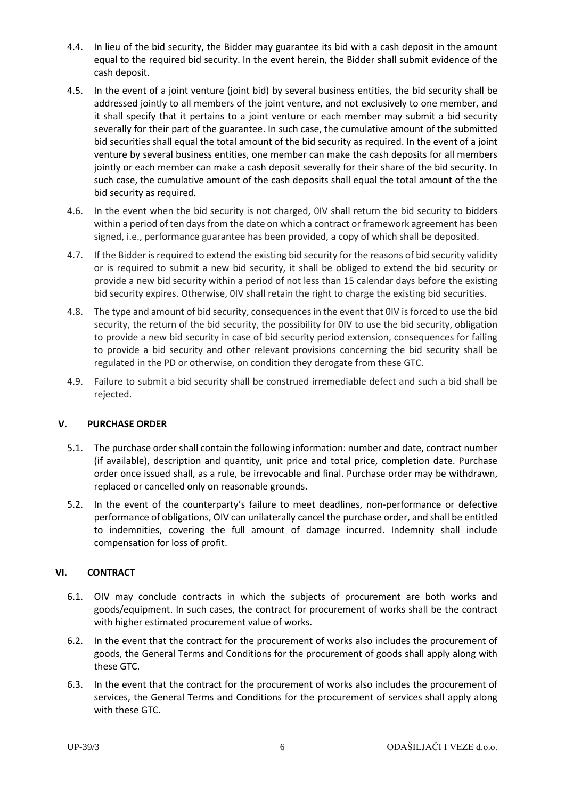- 4.4. In lieu of the bid security, the Bidder may guarantee its bid with a cash deposit in the amount equal to the required bid security. In the event herein, the Bidder shall submit evidence of the cash deposit.
- 4.5. In the event of a joint venture (joint bid) by several business entities, the bid security shall be addressed jointly to all members of the joint venture, and not exclusively to one member, and it shall specify that it pertains to a joint venture or each member may submit a bid security severally for their part of the guarantee. In such case, the cumulative amount of the submitted bid securities shall equal the total amount of the bid security as required. In the event of a joint venture by several business entities, one member can make the cash deposits for all members jointly or each member can make a cash deposit severally for their share of the bid security. In such case, the cumulative amount of the cash deposits shall equal the total amount of the the bid security as required.
- 4.6. In the event when the bid security is not charged, 0IV shall return the bid security to bidders within a period of ten days from the date on which a contract or framework agreement has been signed, i.e., performance guarantee has been provided, a copy of which shall be deposited.
- 4.7. If the Bidder is required to extend the existing bid security for the reasons of bid security validity or is required to submit a new bid security, it shall be obliged to extend the bid security or provide a new bid security within a period of not less than 15 calendar days before the existing bid security expires. Otherwise, 0IV shall retain the right to charge the existing bid securities.
- 4.8. The type and amount of bid security, consequences in the event that 0IV is forced to use the bid security, the return of the bid security, the possibility for 0IV to use the bid security, obligation to provide a new bid security in case of bid security period extension, consequences for failing to provide a bid security and other relevant provisions concerning the bid security shall be regulated in the PD or otherwise, on condition they derogate from these GTC.
- 4.9. Failure to submit a bid security shall be construed irremediable defect and such a bid shall be rejected.

# <span id="page-5-0"></span>**V. PURCHASE ORDER**

- 5.1. The purchase order shall contain the following information: number and date, contract number (if available), description and quantity, unit price and total price, completion date. Purchase order once issued shall, as a rule, be irrevocable and final. Purchase order may be withdrawn, replaced or cancelled only on reasonable grounds.
- 5.2. In the event of the counterparty's failure to meet deadlines, non-performance or defective performance of obligations, OIV can unilaterally cancel the purchase order, and shall be entitled to indemnities, covering the full amount of damage incurred. Indemnity shall include compensation for loss of profit.

# <span id="page-5-1"></span>**VI. CONTRACT**

- 6.1. OIV may conclude contracts in which the subjects of procurement are both works and goods/equipment. In such cases, the contract for procurement of works shall be the contract with higher estimated procurement value of works.
- 6.2. In the event that the contract for the procurement of works also includes the procurement of goods, the General Terms and Conditions for the procurement of goods shall apply along with these GTC.
- 6.3. In the event that the contract for the procurement of works also includes the procurement of services, the General Terms and Conditions for the procurement of services shall apply along with these GTC.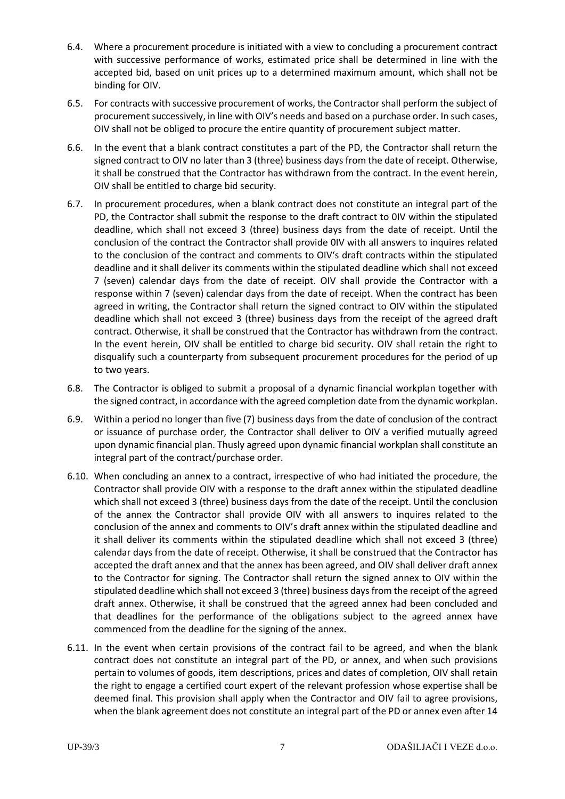- 6.4. Where a procurement procedure is initiated with a view to concluding a procurement contract with successive performance of works, estimated price shall be determined in line with the accepted bid, based on unit prices up to a determined maximum amount, which shall not be binding for OIV.
- 6.5. For contracts with successive procurement of works, the Contractor shall perform the subject of procurement successively, in line with OIV's needs and based on a purchase order. In such cases, OIV shall not be obliged to procure the entire quantity of procurement subject matter.
- <span id="page-6-0"></span>6.6. In the event that a blank contract constitutes a part of the PD, the Contractor shall return the signed contract to OIV no later than 3 (three) business days from the date of receipt. Otherwise, it shall be construed that the Contractor has withdrawn from the contract. In the event herein, OIV shall be entitled to charge bid security.
- <span id="page-6-1"></span>6.7. In procurement procedures, when a blank contract does not constitute an integral part of the PD, the Contractor shall submit the response to the draft contract to 0IV within the stipulated deadline, which shall not exceed 3 (three) business days from the date of receipt. Until the conclusion of the contract the Contractor shall provide 0IV with all answers to inquires related to the conclusion of the contract and comments to OIV's draft contracts within the stipulated deadline and it shall deliver its comments within the stipulated deadline which shall not exceed 7 (seven) calendar days from the date of receipt. OIV shall provide the Contractor with a response within 7 (seven) calendar days from the date of receipt. When the contract has been agreed in writing, the Contractor shall return the signed contract to OIV within the stipulated deadline which shall not exceed 3 (three) business days from the receipt of the agreed draft contract. Otherwise, it shall be construed that the Contractor has withdrawn from the contract. In the event herein, OIV shall be entitled to charge bid security. OIV shall retain the right to disqualify such a counterparty from subsequent procurement procedures for the period of up to two years.
- 6.8. The Contractor is obliged to submit a proposal of a dynamic financial workplan together with the signed contract, in accordance with the agreed completion date from the dynamic workplan.
- 6.9. Within a period no longer than five (7) business days from the date of conclusion of the contract or issuance of purchase order, the Contractor shall deliver to OIV a verified mutually agreed upon dynamic financial plan. Thusly agreed upon dynamic financial workplan shall constitute an integral part of the contract/purchase order.
- <span id="page-6-2"></span>6.10. When concluding an annex to a contract, irrespective of who had initiated the procedure, the Contractor shall provide OIV with a response to the draft annex within the stipulated deadline which shall not exceed 3 (three) business days from the date of the receipt. Until the conclusion of the annex the Contractor shall provide OIV with all answers to inquires related to the conclusion of the annex and comments to OIV's draft annex within the stipulated deadline and it shall deliver its comments within the stipulated deadline which shall not exceed 3 (three) calendar days from the date of receipt. Otherwise, it shall be construed that the Contractor has accepted the draft annex and that the annex has been agreed, and OIV shall deliver draft annex to the Contractor for signing. The Contractor shall return the signed annex to OIV within the stipulated deadline which shall not exceed 3 (three) business days from the receipt of the agreed draft annex. Otherwise, it shall be construed that the agreed annex had been concluded and that deadlines for the performance of the obligations subject to the agreed annex have commenced from the deadline for the signing of the annex.
- <span id="page-6-3"></span>6.11. In the event when certain provisions of the contract fail to be agreed, and when the blank contract does not constitute an integral part of the PD, or annex, and when such provisions pertain to volumes of goods, item descriptions, prices and dates of completion, OIV shall retain the right to engage a certified court expert of the relevant profession whose expertise shall be deemed final. This provision shall apply when the Contractor and OIV fail to agree provisions, when the blank agreement does not constitute an integral part of the PD or annex even after 14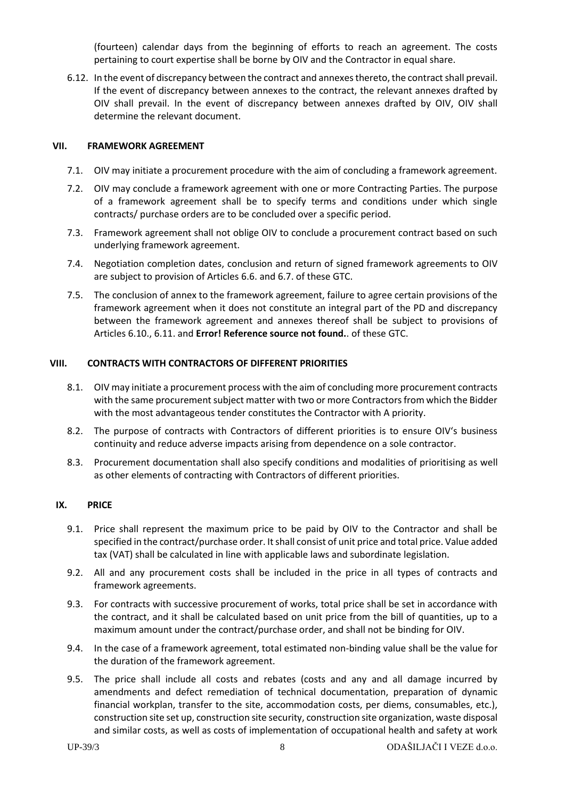(fourteen) calendar days from the beginning of efforts to reach an agreement. The costs pertaining to court expertise shall be borne by OIV and the Contractor in equal share.

6.12. In the event of discrepancy between the contract and annexes thereto, the contract shall prevail. If the event of discrepancy between annexes to the contract, the relevant annexes drafted by OIV shall prevail. In the event of discrepancy between annexes drafted by OIV, OIV shall determine the relevant document.

#### <span id="page-7-0"></span>**VII. FRAMEWORK AGREEMENT**

- 7.1. OIV may initiate a procurement procedure with the aim of concluding a framework agreement.
- 7.2. OIV may conclude a framework agreement with one or more Contracting Parties. The purpose of a framework agreement shall be to specify terms and conditions under which single contracts/ purchase orders are to be concluded over a specific period.
- 7.3. Framework agreement shall not oblige OIV to conclude a procurement contract based on such underlying framework agreement.
- 7.4. Negotiation completion dates, conclusion and return of signed framework agreements to OIV are subject to provision of Articles [6.6.](#page-6-0) and [6.7.](#page-6-1) of these GTC.
- <span id="page-7-1"></span>7.5. The conclusion of annex to the framework agreement, failure to agree certain provisions of the framework agreement when it does not constitute an integral part of the PD and discrepancy between the framework agreement and annexes thereof shall be subject to provisions of Articles [6.10.](#page-6-2)[, 6.11.](#page-6-3) and **Error! Reference source not found.**. of these GTC.

#### **VIII. CONTRACTS WITH CONTRACTORS OF DIFFERENT PRIORITIES**

- 8.1. OIV may initiate a procurement process with the aim of concluding more procurement contracts with the same procurement subject matter with two or more Contractors from which the Bidder with the most advantageous tender constitutes the Contractor with A priority.
- 8.2. The purpose of contracts with Contractors of different priorities is to ensure OIV's business continuity and reduce adverse impacts arising from dependence on a sole contractor.
- 8.3. Procurement documentation shall also specify conditions and modalities of prioritising as well as other elements of contracting with Contractors of different priorities.

#### <span id="page-7-2"></span>**IX. PRICE**

- 9.1. Price shall represent the maximum price to be paid by OIV to the Contractor and shall be specified in the contract/purchase order. It shall consist of unit price and total price. Value added tax (VAT) shall be calculated in line with applicable laws and subordinate legislation.
- 9.2. All and any procurement costs shall be included in the price in all types of contracts and framework agreements.
- 9.3. For contracts with successive procurement of works, total price shall be set in accordance with the contract, and it shall be calculated based on unit price from the bill of quantities, up to a maximum amount under the contract/purchase order, and shall not be binding for OIV.
- 9.4. In the case of a framework agreement, total estimated non-binding value shall be the value for the duration of the framework agreement.
- 9.5. The price shall include all costs and rebates (costs and any and all damage incurred by amendments and defect remediation of technical documentation, preparation of dynamic financial workplan, transfer to the site, accommodation costs, per diems, consumables, etc.), construction site set up, construction site security, construction site organization, waste disposal and similar costs, as well as costs of implementation of occupational health and safety at work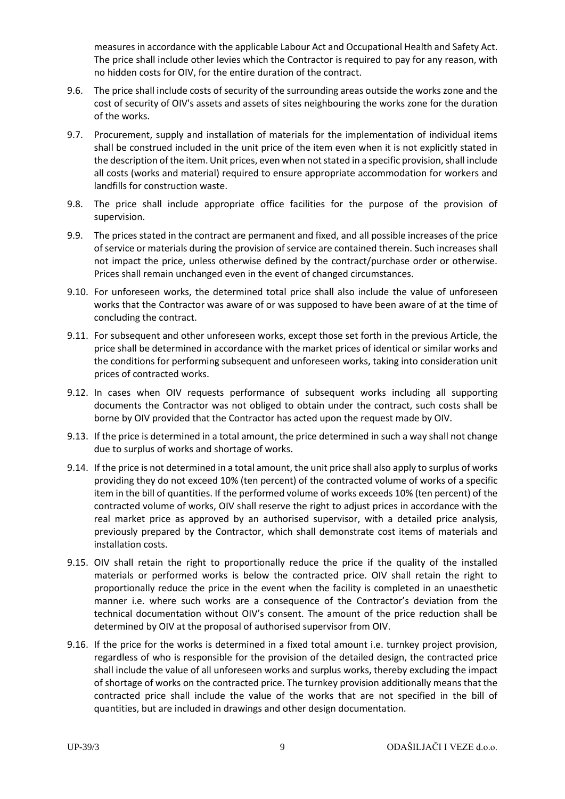measures in accordance with the applicable Labour Act and Occupational Health and Safety Act. The price shall include other levies which the Contractor is required to pay for any reason, with no hidden costs for OIV, for the entire duration of the contract.

- 9.6. The price shall include costs of security of the surrounding areas outside the works zone and the cost of security of OIV's assets and assets of sites neighbouring the works zone for the duration of the works.
- 9.7. Procurement, supply and installation of materials for the implementation of individual items shall be construed included in the unit price of the item even when it is not explicitly stated in the description of the item. Unit prices, even when not stated in a specific provision, shall include all costs (works and material) required to ensure appropriate accommodation for workers and landfills for construction waste.
- 9.8. The price shall include appropriate office facilities for the purpose of the provision of supervision.
- 9.9. The prices stated in the contract are permanent and fixed, and all possible increases of the price of service or materials during the provision of service are contained therein. Such increases shall not impact the price, unless otherwise defined by the contract/purchase order or otherwise. Prices shall remain unchanged even in the event of changed circumstances.
- 9.10. For unforeseen works, the determined total price shall also include the value of unforeseen works that the Contractor was aware of or was supposed to have been aware of at the time of concluding the contract.
- 9.11. For subsequent and other unforeseen works, except those set forth in the previous Article, the price shall be determined in accordance with the market prices of identical or similar works and the conditions for performing subsequent and unforeseen works, taking into consideration unit prices of contracted works.
- 9.12. In cases when OIV requests performance of subsequent works including all supporting documents the Contractor was not obliged to obtain under the contract, such costs shall be borne by OIV provided that the Contractor has acted upon the request made by OIV.
- 9.13. If the price is determined in a total amount, the price determined in such a way shall not change due to surplus of works and shortage of works.
- 9.14. If the price is not determined in a total amount, the unit price shall also apply to surplus of works providing they do not exceed 10% (ten percent) of the contracted volume of works of a specific item in the bill of quantities. If the performed volume of works exceeds 10% (ten percent) of the contracted volume of works, OIV shall reserve the right to adjust prices in accordance with the real market price as approved by an authorised supervisor, with a detailed price analysis, previously prepared by the Contractor, which shall demonstrate cost items of materials and installation costs.
- 9.15. OIV shall retain the right to proportionally reduce the price if the quality of the installed materials or performed works is below the contracted price. OIV shall retain the right to proportionally reduce the price in the event when the facility is completed in an unaesthetic manner i.e. where such works are a consequence of the Contractor's deviation from the technical documentation without OIV's consent. The amount of the price reduction shall be determined by OIV at the proposal of authorised supervisor from OIV.
- 9.16. If the price for the works is determined in a fixed total amount i.e. turnkey project provision, regardless of who is responsible for the provision of the detailed design, the contracted price shall include the value of all unforeseen works and surplus works, thereby excluding the impact of shortage of works on the contracted price. The turnkey provision additionally means that the contracted price shall include the value of the works that are not specified in the bill of quantities, but are included in drawings and other design documentation.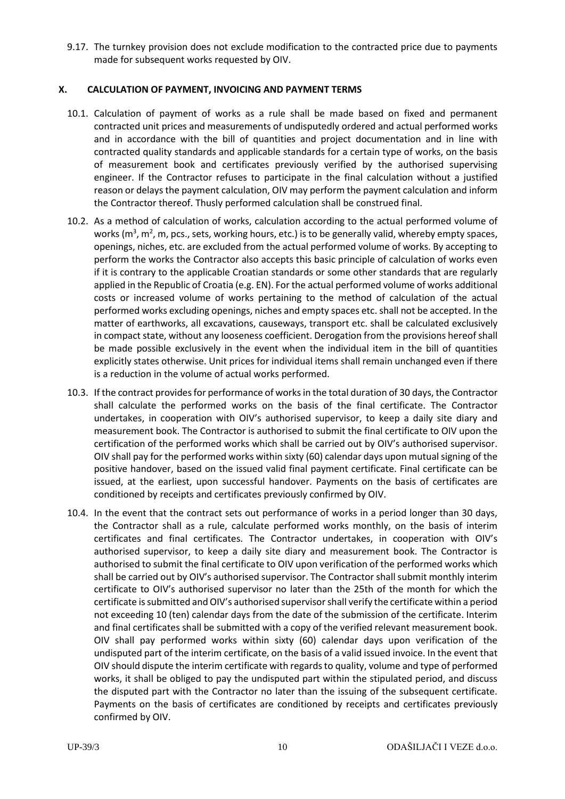9.17. The turnkey provision does not exclude modification to the contracted price due to payments made for subsequent works requested by OIV.

## <span id="page-9-0"></span>**X. CALCULATION OF PAYMENT, INVOICING AND PAYMENT TERMS**

- 10.1. Calculation of payment of works as a rule shall be made based on fixed and permanent contracted unit prices and measurements of undisputedly ordered and actual performed works and in accordance with the bill of quantities and project documentation and in line with contracted quality standards and applicable standards for a certain type of works, on the basis of measurement book and certificates previously verified by the authorised supervising engineer. If the Contractor refuses to participate in the final calculation without a justified reason or delays the payment calculation, OIV may perform the payment calculation and inform the Contractor thereof. Thusly performed calculation shall be construed final.
- 10.2. As a method of calculation of works, calculation according to the actual performed volume of works (m<sup>3</sup>, m<sup>2</sup>, m, pcs., sets, working hours, etc.) is to be generally valid, whereby empty spaces, openings, niches, etc. are excluded from the actual performed volume of works. By accepting to perform the works the Contractor also accepts this basic principle of calculation of works even if it is contrary to the applicable Croatian standards or some other standards that are regularly applied in the Republic of Croatia (e.g. EN). For the actual performed volume of works additional costs or increased volume of works pertaining to the method of calculation of the actual performed works excluding openings, niches and empty spaces etc. shall not be accepted. In the matter of earthworks, all excavations, causeways, transport etc. shall be calculated exclusively in compact state, without any looseness coefficient. Derogation from the provisions hereof shall be made possible exclusively in the event when the individual item in the bill of quantities explicitly states otherwise. Unit prices for individual items shall remain unchanged even if there is a reduction in the volume of actual works performed.
- 10.3. If the contract provides for performance of works in the total duration of 30 days, the Contractor shall calculate the performed works on the basis of the final certificate. The Contractor undertakes, in cooperation with OIV's authorised supervisor, to keep a daily site diary and measurement book. The Contractor is authorised to submit the final certificate to OIV upon the certification of the performed works which shall be carried out by OIV's authorised supervisor. OIV shall pay for the performed works within sixty (60) calendar days upon mutual signing of the positive handover, based on the issued valid final payment certificate. Final certificate can be issued, at the earliest, upon successful handover. Payments on the basis of certificates are conditioned by receipts and certificates previously confirmed by OIV.
- 10.4. In the event that the contract sets out performance of works in a period longer than 30 days, the Contractor shall as a rule, calculate performed works monthly, on the basis of interim certificates and final certificates. The Contractor undertakes, in cooperation with OIV's authorised supervisor, to keep a daily site diary and measurement book. The Contractor is authorised to submit the final certificate to OIV upon verification of the performed works which shall be carried out by OIV's authorised supervisor. The Contractor shall submit monthly interim certificate to OIV's authorised supervisor no later than the 25th of the month for which the certificate is submitted and OIV's authorised supervisor shall verify the certificate within a period not exceeding 10 (ten) calendar days from the date of the submission of the certificate. Interim and final certificates shall be submitted with a copy of the verified relevant measurement book. OIV shall pay performed works within sixty (60) calendar days upon verification of the undisputed part of the interim certificate, on the basis of a valid issued invoice. In the event that OIV should dispute the interim certificate with regards to quality, volume and type of performed works, it shall be obliged to pay the undisputed part within the stipulated period, and discuss the disputed part with the Contractor no later than the issuing of the subsequent certificate. Payments on the basis of certificates are conditioned by receipts and certificates previously confirmed by OIV.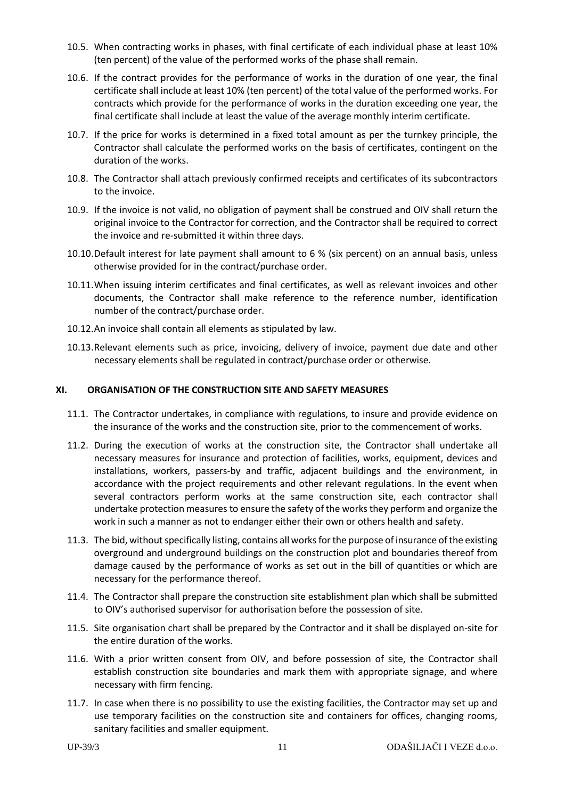- 10.5. When contracting works in phases, with final certificate of each individual phase at least 10% (ten percent) of the value of the performed works of the phase shall remain.
- 10.6. If the contract provides for the performance of works in the duration of one year, the final certificate shall include at least 10% (ten percent) of the total value of the performed works. For contracts which provide for the performance of works in the duration exceeding one year, the final certificate shall include at least the value of the average monthly interim certificate.
- 10.7. If the price for works is determined in a fixed total amount as per the turnkey principle, the Contractor shall calculate the performed works on the basis of certificates, contingent on the duration of the works.
- 10.8. The Contractor shall attach previously confirmed receipts and certificates of its subcontractors to the invoice.
- 10.9. If the invoice is not valid, no obligation of payment shall be construed and OIV shall return the original invoice to the Contractor for correction, and the Contractor shall be required to correct the invoice and re-submitted it within three days.
- 10.10.Default interest for late payment shall amount to 6 % (six percent) on an annual basis, unless otherwise provided for in the contract/purchase order.
- 10.11.When issuing interim certificates and final certificates, as well as relevant invoices and other documents, the Contractor shall make reference to the reference number, identification number of the contract/purchase order.
- 10.12.An invoice shall contain all elements as stipulated by law.
- 10.13.Relevant elements such as price, invoicing, delivery of invoice, payment due date and other necessary elements shall be regulated in contract/purchase order or otherwise.

#### <span id="page-10-0"></span>**XI. ORGANISATION OF THE CONSTRUCTION SITE AND SAFETY MEASURES**

- 11.1. The Contractor undertakes, in compliance with regulations, to insure and provide evidence on the insurance of the works and the construction site, prior to the commencement of works.
- 11.2. During the execution of works at the construction site, the Contractor shall undertake all necessary measures for insurance and protection of facilities, works, equipment, devices and installations, workers, passers-by and traffic, adjacent buildings and the environment, in accordance with the project requirements and other relevant regulations. In the event when several contractors perform works at the same construction site, each contractor shall undertake protection measures to ensure the safety of the works they perform and organize the work in such a manner as not to endanger either their own or others health and safety.
- 11.3. The bid, without specifically listing, contains all works for the purpose of insurance of the existing overground and underground buildings on the construction plot and boundaries thereof from damage caused by the performance of works as set out in the bill of quantities or which are necessary for the performance thereof.
- 11.4. The Contractor shall prepare the construction site establishment plan which shall be submitted to OIV's authorised supervisor for authorisation before the possession of site.
- 11.5. Site organisation chart shall be prepared by the Contractor and it shall be displayed on-site for the entire duration of the works.
- 11.6. With a prior written consent from OIV, and before possession of site, the Contractor shall establish construction site boundaries and mark them with appropriate signage, and where necessary with firm fencing.
- 11.7. In case when there is no possibility to use the existing facilities, the Contractor may set up and use temporary facilities on the construction site and containers for offices, changing rooms, sanitary facilities and smaller equipment.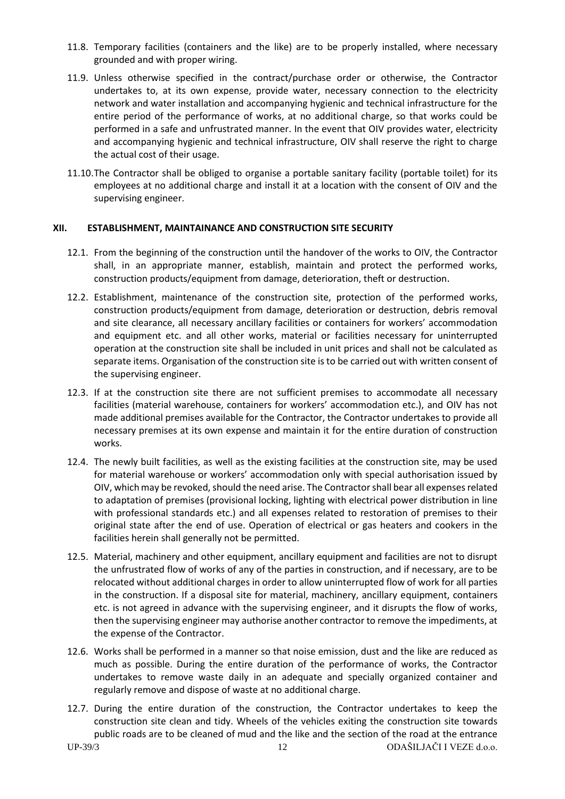- 11.8. Temporary facilities (containers and the like) are to be properly installed, where necessary grounded and with proper wiring.
- 11.9. Unless otherwise specified in the contract/purchase order or otherwise, the Contractor undertakes to, at its own expense, provide water, necessary connection to the electricity network and water installation and accompanying hygienic and technical infrastructure for the entire period of the performance of works, at no additional charge, so that works could be performed in a safe and unfrustrated manner. In the event that OIV provides water, electricity and accompanying hygienic and technical infrastructure, OIV shall reserve the right to charge the actual cost of their usage.
- 11.10.The Contractor shall be obliged to organise a portable sanitary facility (portable toilet) for its employees at no additional charge and install it at a location with the consent of OIV and the supervising engineer.

#### <span id="page-11-0"></span>**XII. ESTABLISHMENT, MAINTAINANCE AND CONSTRUCTION SITE SECURITY**

- 12.1. From the beginning of the construction until the handover of the works to OIV, the Contractor shall, in an appropriate manner, establish, maintain and protect the performed works, construction products/equipment from damage, deterioration, theft or destruction.
- 12.2. Establishment, maintenance of the construction site, protection of the performed works, construction products/equipment from damage, deterioration or destruction, debris removal and site clearance, all necessary ancillary facilities or containers for workers' accommodation and equipment etc. and all other works, material or facilities necessary for uninterrupted operation at the construction site shall be included in unit prices and shall not be calculated as separate items. Organisation of the construction site is to be carried out with written consent of the supervising engineer.
- 12.3. If at the construction site there are not sufficient premises to accommodate all necessary facilities (material warehouse, containers for workers' accommodation etc.), and OIV has not made additional premises available for the Contractor, the Contractor undertakes to provide all necessary premises at its own expense and maintain it for the entire duration of construction works.
- 12.4. The newly built facilities, as well as the existing facilities at the construction site, may be used for material warehouse or workers' accommodation only with special authorisation issued by OIV, which may be revoked, should the need arise. The Contractor shall bear all expenses related to adaptation of premises (provisional locking, lighting with electrical power distribution in line with professional standards etc.) and all expenses related to restoration of premises to their original state after the end of use. Operation of electrical or gas heaters and cookers in the facilities herein shall generally not be permitted.
- 12.5. Material, machinery and other equipment, ancillary equipment and facilities are not to disrupt the unfrustrated flow of works of any of the parties in construction, and if necessary, are to be relocated without additional charges in order to allow uninterrupted flow of work for all parties in the construction. If a disposal site for material, machinery, ancillary equipment, containers etc. is not agreed in advance with the supervising engineer, and it disrupts the flow of works, then the supervising engineer may authorise another contractor to remove the impediments, at the expense of the Contractor.
- 12.6. Works shall be performed in a manner so that noise emission, dust and the like are reduced as much as possible. During the entire duration of the performance of works, the Contractor undertakes to remove waste daily in an adequate and specially organized container and regularly remove and dispose of waste at no additional charge.
- 12.7. During the entire duration of the construction, the Contractor undertakes to keep the construction site clean and tidy. Wheels of the vehicles exiting the construction site towards public roads are to be cleaned of mud and the like and the section of the road at the entrance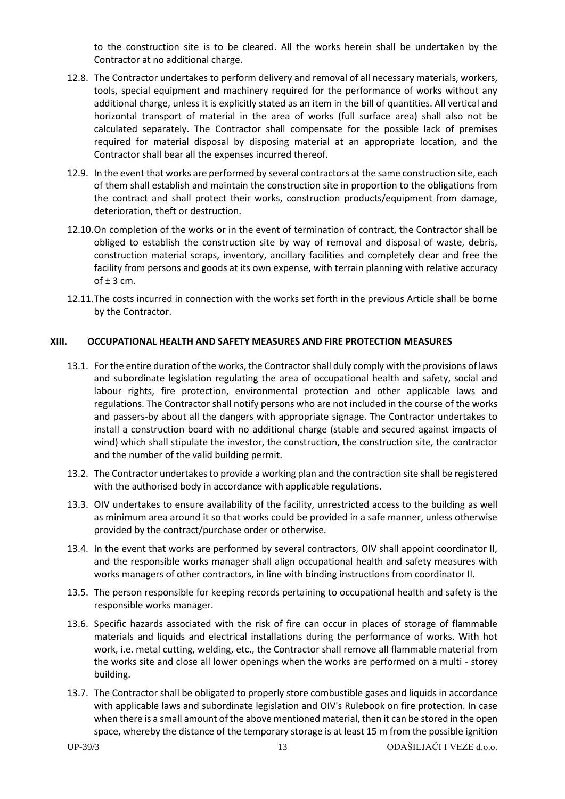to the construction site is to be cleared. All the works herein shall be undertaken by the Contractor at no additional charge.

- 12.8. The Contractor undertakes to perform delivery and removal of all necessary materials, workers, tools, special equipment and machinery required for the performance of works without any additional charge, unless it is explicitly stated as an item in the bill of quantities. All vertical and horizontal transport of material in the area of works (full surface area) shall also not be calculated separately. The Contractor shall compensate for the possible lack of premises required for material disposal by disposing material at an appropriate location, and the Contractor shall bear all the expenses incurred thereof.
- 12.9. In the event that works are performed by several contractors at the same construction site, each of them shall establish and maintain the construction site in proportion to the obligations from the contract and shall protect their works, construction products/equipment from damage, deterioration, theft or destruction.
- 12.10.On completion of the works or in the event of termination of contract, the Contractor shall be obliged to establish the construction site by way of removal and disposal of waste, debris, construction material scraps, inventory, ancillary facilities and completely clear and free the facility from persons and goods at its own expense, with terrain planning with relative accuracy of  $±$  3 cm.
- 12.11.The costs incurred in connection with the works set forth in the previous Article shall be borne by the Contractor.

#### <span id="page-12-0"></span>**XIII. OCCUPATIONAL HEALTH AND SAFETY MEASURES AND FIRE PROTECTION MEASURES**

- 13.1. For the entire duration of the works, the Contractor shall duly comply with the provisions of laws and subordinate legislation regulating the area of occupational health and safety, social and labour rights, fire protection, environmental protection and other applicable laws and regulations. The Contractor shall notify persons who are not included in the course of the works and passers-by about all the dangers with appropriate signage. The Contractor undertakes to install a construction board with no additional charge (stable and secured against impacts of wind) which shall stipulate the investor, the construction, the construction site, the contractor and the number of the valid building permit.
- 13.2. The Contractor undertakes to provide a working plan and the contraction site shall be registered with the authorised body in accordance with applicable regulations.
- 13.3. OIV undertakes to ensure availability of the facility, unrestricted access to the building as well as minimum area around it so that works could be provided in a safe manner, unless otherwise provided by the contract/purchase order or otherwise.
- 13.4. In the event that works are performed by several contractors, OIV shall appoint coordinator II, and the responsible works manager shall align occupational health and safety measures with works managers of other contractors, in line with binding instructions from coordinator II.
- 13.5. The person responsible for keeping records pertaining to occupational health and safety is the responsible works manager.
- 13.6. Specific hazards associated with the risk of fire can occur in places of storage of flammable materials and liquids and electrical installations during the performance of works. With hot work, i.e. metal cutting, welding, etc., the Contractor shall remove all flammable material from the works site and close all lower openings when the works are performed on a multi - storey building.
- 13.7. The Contractor shall be obligated to properly store combustible gases and liquids in accordance with applicable laws and subordinate legislation and OIV's Rulebook on fire protection. In case when there is a small amount of the above mentioned material, then it can be stored in the open space, whereby the distance of the temporary storage is at least 15 m from the possible ignition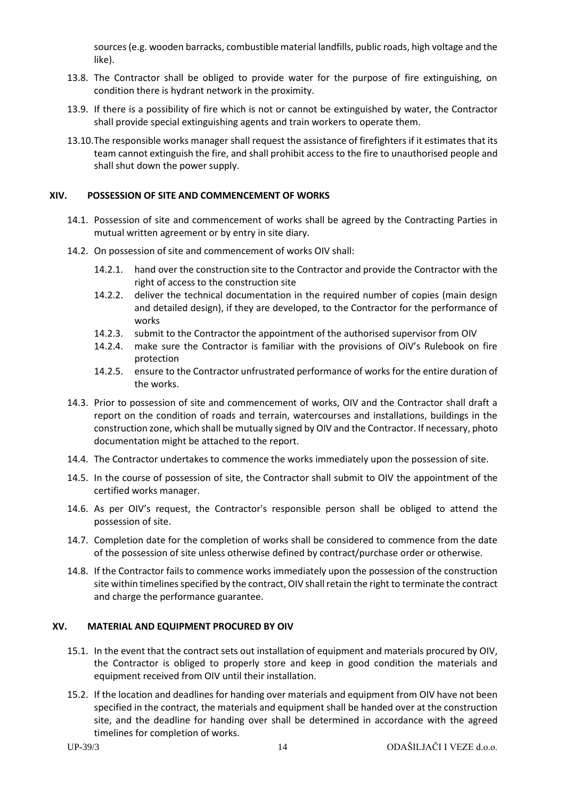sources (e.g. wooden barracks, combustible material landfills, public roads, high voltage and the like).

- 13.8. The Contractor shall be obliged to provide water for the purpose of fire extinguishing, on condition there is hydrant network in the proximity.
- 13.9. If there is a possibility of fire which is not or cannot be extinguished by water, the Contractor shall provide special extinguishing agents and train workers to operate them.
- 13.10.The responsible works manager shall request the assistance of firefighters if it estimates that its team cannot extinguish the fire, and shall prohibit access to the fire to unauthorised people and shall shut down the power supply.

#### <span id="page-13-0"></span>**XIV. POSSESSION OF SITE AND COMMENCEMENT OF WORKS**

- 14.1. Possession of site and commencement of works shall be agreed by the Contracting Parties in mutual written agreement or by entry in site diary.
- 14.2. On possession of site and commencement of works OIV shall:
	- 14.2.1. hand over the construction site to the Contractor and provide the Contractor with the right of access to the construction site
	- 14.2.2. deliver the technical documentation in the required number of copies (main design and detailed design), if they are developed, to the Contractor for the performance of works
	- 14.2.3. submit to the Contractor the appointment of the authorised supervisor from OIV
	- 14.2.4. make sure the Contractor is familiar with the provisions of OiV's Rulebook on fire protection
	- 14.2.5. ensure to the Contractor unfrustrated performance of works for the entire duration of the works.
- 14.3. Prior to possession of site and commencement of works, OIV and the Contractor shall draft a report on the condition of roads and terrain, watercourses and installations, buildings in the construction zone, which shall be mutually signed by OIV and the Contractor. If necessary, photo documentation might be attached to the report.
- 14.4. The Contractor undertakes to commence the works immediately upon the possession of site.
- 14.5. In the course of possession of site, the Contractor shall submit to OIV the appointment of the certified works manager.
- 14.6. As per OIV's request, the Contractor's responsible person shall be obliged to attend the possession of site.
- 14.7. Completion date for the completion of works shall be considered to commence from the date of the possession of site unless otherwise defined by contract/purchase order or otherwise.
- 14.8. If the Contractor fails to commence works immediately upon the possession of the construction site within timelines specified by the contract, OIV shall retain the right to terminate the contract and charge the performance guarantee.

#### <span id="page-13-1"></span>**XV. MATERIAL AND EQUIPMENT PROCURED BY OIV**

- 15.1. In the event that the contract sets out installation of equipment and materials procured by OIV, the Contractor is obliged to properly store and keep in good condition the materials and equipment received from OIV until their installation.
- 15.2. If the location and deadlines for handing over materials and equipment from OIV have not been specified in the contract, the materials and equipment shall be handed over at the construction site, and the deadline for handing over shall be determined in accordance with the agreed timelines for completion of works.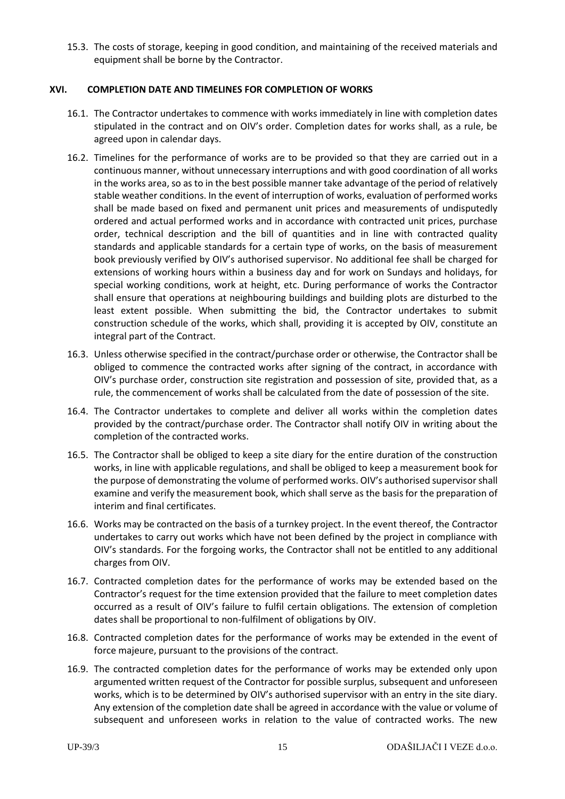15.3. The costs of storage, keeping in good condition, and maintaining of the received materials and equipment shall be borne by the Contractor.

## <span id="page-14-0"></span>**XVI. COMPLETION DATE AND TIMELINES FOR COMPLETION OF WORKS**

- 16.1. The Contractor undertakes to commence with works immediately in line with completion dates stipulated in the contract and on OIV's order. Completion dates for works shall, as a rule, be agreed upon in calendar days.
- 16.2. Timelines for the performance of works are to be provided so that they are carried out in a continuous manner, without unnecessary interruptions and with good coordination of all works in the works area, so as to in the best possible manner take advantage of the period of relatively stable weather conditions. In the event of interruption of works, evaluation of performed works shall be made based on fixed and permanent unit prices and measurements of undisputedly ordered and actual performed works and in accordance with contracted unit prices, purchase order, technical description and the bill of quantities and in line with contracted quality standards and applicable standards for a certain type of works, on the basis of measurement book previously verified by OIV's authorised supervisor. No additional fee shall be charged for extensions of working hours within a business day and for work on Sundays and holidays, for special working conditions, work at height, etc. During performance of works the Contractor shall ensure that operations at neighbouring buildings and building plots are disturbed to the least extent possible. When submitting the bid, the Contractor undertakes to submit construction schedule of the works, which shall, providing it is accepted by OIV, constitute an integral part of the Contract.
- 16.3. Unless otherwise specified in the contract/purchase order or otherwise, the Contractor shall be obliged to commence the contracted works after signing of the contract, in accordance with OIV's purchase order, construction site registration and possession of site, provided that, as a rule, the commencement of works shall be calculated from the date of possession of the site.
- 16.4. The Contractor undertakes to complete and deliver all works within the completion dates provided by the contract/purchase order. The Contractor shall notify OIV in writing about the completion of the contracted works.
- 16.5. The Contractor shall be obliged to keep a site diary for the entire duration of the construction works, in line with applicable regulations, and shall be obliged to keep a measurement book for the purpose of demonstrating the volume of performed works. OIV's authorised supervisor shall examine and verify the measurement book, which shall serve as the basis for the preparation of interim and final certificates.
- 16.6. Works may be contracted on the basis of a turnkey project. In the event thereof, the Contractor undertakes to carry out works which have not been defined by the project in compliance with OIV's standards. For the forgoing works, the Contractor shall not be entitled to any additional charges from OIV.
- 16.7. Contracted completion dates for the performance of works may be extended based on the Contractor's request for the time extension provided that the failure to meet completion dates occurred as a result of OIV's failure to fulfil certain obligations. The extension of completion dates shall be proportional to non-fulfilment of obligations by OIV.
- 16.8. Contracted completion dates for the performance of works may be extended in the event of force majeure, pursuant to the provisions of the contract.
- <span id="page-14-1"></span>16.9. The contracted completion dates for the performance of works may be extended only upon argumented written request of the Contractor for possible surplus, subsequent and unforeseen works, which is to be determined by OIV's authorised supervisor with an entry in the site diary. Any extension of the completion date shall be agreed in accordance with the value or volume of subsequent and unforeseen works in relation to the value of contracted works. The new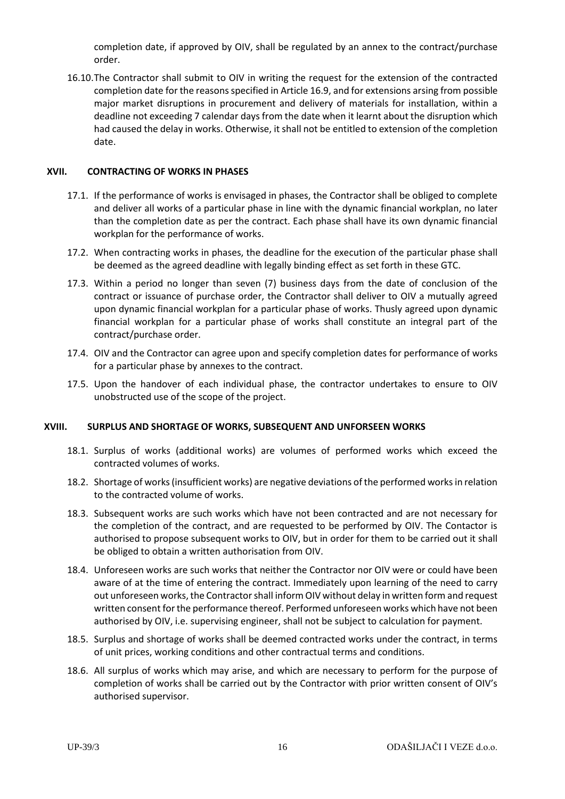completion date, if approved by OIV, shall be regulated by an annex to the contract/purchase order.

16.10.The Contractor shall submit to OIV in writing the request for the extension of the contracted completion date for the reasons specified in Article [16.9,](#page-14-1) and for extensions arsing from possible major market disruptions in procurement and delivery of materials for installation, within a deadline not exceeding 7 calendar days from the date when it learnt about the disruption which had caused the delay in works. Otherwise, it shall not be entitled to extension of the completion date.

#### <span id="page-15-0"></span>**XVII. CONTRACTING OF WORKS IN PHASES**

- 17.1. If the performance of works is envisaged in phases, the Contractor shall be obliged to complete and deliver all works of a particular phase in line with the dynamic financial workplan, no later than the completion date as per the contract. Each phase shall have its own dynamic financial workplan for the performance of works.
- 17.2. When contracting works in phases, the deadline for the execution of the particular phase shall be deemed as the agreed deadline with legally binding effect as set forth in these GTC.
- 17.3. Within a period no longer than seven (7) business days from the date of conclusion of the contract or issuance of purchase order, the Contractor shall deliver to OIV a mutually agreed upon dynamic financial workplan for a particular phase of works. Thusly agreed upon dynamic financial workplan for a particular phase of works shall constitute an integral part of the contract/purchase order.
- 17.4. OIV and the Contractor can agree upon and specify completion dates for performance of works for a particular phase by annexes to the contract.
- 17.5. Upon the handover of each individual phase, the contractor undertakes to ensure to OIV unobstructed use of the scope of the project.

#### <span id="page-15-1"></span>**XVIII. SURPLUS AND SHORTAGE OF WORKS, SUBSEQUENT AND UNFORSEEN WORKS**

- 18.1. Surplus of works (additional works) are volumes of performed works which exceed the contracted volumes of works.
- 18.2. Shortage of works (insufficient works) are negative deviations of the performed works in relation to the contracted volume of works.
- 18.3. Subsequent works are such works which have not been contracted and are not necessary for the completion of the contract, and are requested to be performed by OIV. The Contactor is authorised to propose subsequent works to OIV, but in order for them to be carried out it shall be obliged to obtain a written authorisation from OIV.
- 18.4. Unforeseen works are such works that neither the Contractor nor OIV were or could have been aware of at the time of entering the contract. Immediately upon learning of the need to carry out unforeseen works, the Contractor shall inform OIV without delay in written form and request written consent for the performance thereof. Performed unforeseen works which have not been authorised by OIV, i.e. supervising engineer, shall not be subject to calculation for payment.
- 18.5. Surplus and shortage of works shall be deemed contracted works under the contract, in terms of unit prices, working conditions and other contractual terms and conditions.
- 18.6. All surplus of works which may arise, and which are necessary to perform for the purpose of completion of works shall be carried out by the Contractor with prior written consent of OIV's authorised supervisor.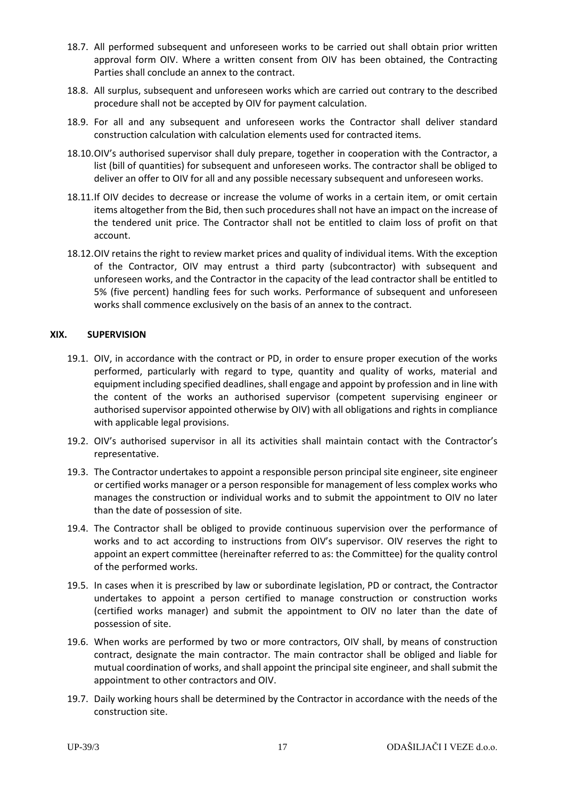- 18.7. All performed subsequent and unforeseen works to be carried out shall obtain prior written approval form OIV. Where a written consent from OIV has been obtained, the Contracting Parties shall conclude an annex to the contract.
- 18.8. All surplus, subsequent and unforeseen works which are carried out contrary to the described procedure shall not be accepted by OIV for payment calculation.
- 18.9. For all and any subsequent and unforeseen works the Contractor shall deliver standard construction calculation with calculation elements used for contracted items.
- 18.10.OIV's authorised supervisor shall duly prepare, together in cooperation with the Contractor, a list (bill of quantities) for subsequent and unforeseen works. The contractor shall be obliged to deliver an offer to OIV for all and any possible necessary subsequent and unforeseen works.
- 18.11.If OIV decides to decrease or increase the volume of works in a certain item, or omit certain items altogether from the Bid, then such procedures shall not have an impact on the increase of the tendered unit price. The Contractor shall not be entitled to claim loss of profit on that account.
- 18.12.OIV retains the right to review market prices and quality of individual items. With the exception of the Contractor, OIV may entrust a third party (subcontractor) with subsequent and unforeseen works, and the Contractor in the capacity of the lead contractor shall be entitled to 5% (five percent) handling fees for such works. Performance of subsequent and unforeseen works shall commence exclusively on the basis of an annex to the contract.

#### <span id="page-16-0"></span>**XIX. SUPERVISION**

- 19.1. OIV, in accordance with the contract or PD, in order to ensure proper execution of the works performed, particularly with regard to type, quantity and quality of works, material and equipment including specified deadlines, shall engage and appoint by profession and in line with the content of the works an authorised supervisor (competent supervising engineer or authorised supervisor appointed otherwise by OIV) with all obligations and rights in compliance with applicable legal provisions.
- 19.2. OIV's authorised supervisor in all its activities shall maintain contact with the Contractor's representative.
- 19.3. The Contractor undertakes to appoint a responsible person principal site engineer, site engineer or certified works manager or a person responsible for management of less complex works who manages the construction or individual works and to submit the appointment to OIV no later than the date of possession of site.
- 19.4. The Contractor shall be obliged to provide continuous supervision over the performance of works and to act according to instructions from OIV's supervisor. OIV reserves the right to appoint an expert committee (hereinafter referred to as: the Committee) for the quality control of the performed works.
- 19.5. In cases when it is prescribed by law or subordinate legislation, PD or contract, the Contractor undertakes to appoint a person certified to manage construction or construction works (certified works manager) and submit the appointment to OIV no later than the date of possession of site.
- 19.6. When works are performed by two or more contractors, OIV shall, by means of construction contract, designate the main contractor. The main contractor shall be obliged and liable for mutual coordination of works, and shall appoint the principal site engineer, and shall submit the appointment to other contractors and OIV.
- 19.7. Daily working hours shall be determined by the Contractor in accordance with the needs of the construction site.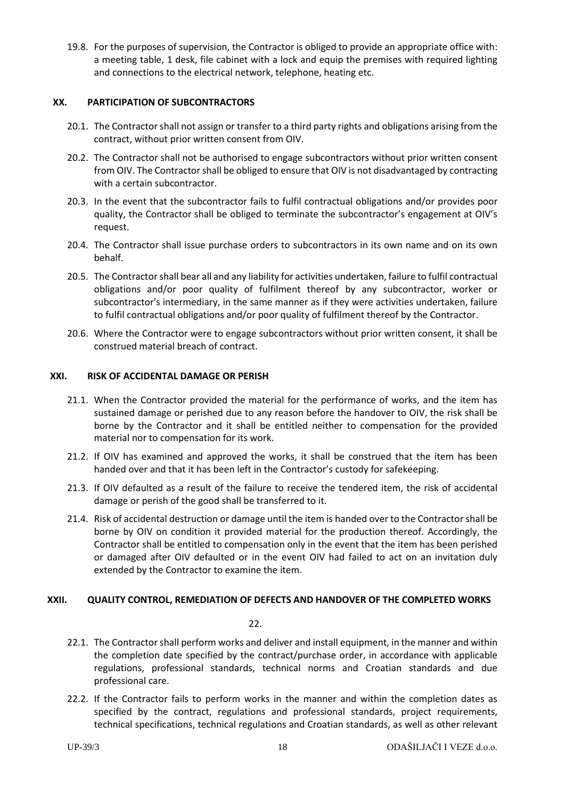19.8. For the purposes of supervision, the Contractor is obliged to provide an appropriate office with: a meeting table, 1 desk, file cabinet with a lock and equip the premises with required lighting and connections to the electrical network, telephone, heating etc.

#### <span id="page-17-0"></span>**XX. PARTICIPATION OF SUBCONTRACTORS**

- 20.1. The Contractor shall not assign or transfer to a third party rights and obligations arising from the contract, without prior written consent from OIV.
- 20.2. The Contractor shall not be authorised to engage subcontractors without prior written consent from OIV. The Contractor shall be obliged to ensure that OIV is not disadvantaged by contracting with a certain subcontractor.
- 20.3. In the event that the subcontractor fails to fulfil contractual obligations and/or provides poor quality, the Contractor shall be obliged to terminate the subcontractor's engagement at OIV's request.
- 20.4. The Contractor shall issue purchase orders to subcontractors in its own name and on its own behalf.
- 20.5. The Contractor shall bear all and any liability for activities undertaken, failure to fulfil contractual obligations and/or poor quality of fulfilment thereof by any subcontractor, worker or subcontractor's intermediary, in the same manner as if they were activities undertaken, failure to fulfil contractual obligations and/or poor quality of fulfilment thereof by the Contractor.
- 20.6. Where the Contractor were to engage subcontractors without prior written consent, it shall be construed material breach of contract.

#### <span id="page-17-1"></span>**XXI. RISK OF ACCIDENTAL DAMAGE OR PERISH**

- 21.1. When the Contractor provided the material for the performance of works, and the item has sustained damage or perished due to any reason before the handover to OIV, the risk shall be borne by the Contractor and it shall be entitled neither to compensation for the provided material nor to compensation for its work.
- 21.2. If OIV has examined and approved the works, it shall be construed that the item has been handed over and that it has been left in the Contractor's custody for safekeeping.
- 21.3. If OIV defaulted as a result of the failure to receive the tendered item, the risk of accidental damage or perish of the good shall be transferred to it.
- 21.4. Risk of accidental destruction or damage until the item is handed over to the Contractor shall be borne by OIV on condition it provided material for the production thereof. Accordingly, the Contractor shall be entitled to compensation only in the event that the item has been perished or damaged after OIV defaulted or in the event OIV had failed to act on an invitation duly extended by the Contractor to examine the item.

#### <span id="page-17-2"></span>**XXII. QUALITY CONTROL, REMEDIATION OF DEFECTS AND HANDOVER OF THE COMPLETED WORKS**

22.

- 22.1. The Contractor shall perform works and deliver and install equipment, in the manner and within the completion date specified by the contract/purchase order, in accordance with applicable regulations, professional standards, technical norms and Croatian standards and due professional care.
- 22.2. If the Contractor fails to perform works in the manner and within the completion dates as specified by the contract, regulations and professional standards, project requirements, technical specifications, technical regulations and Croatian standards, as well as other relevant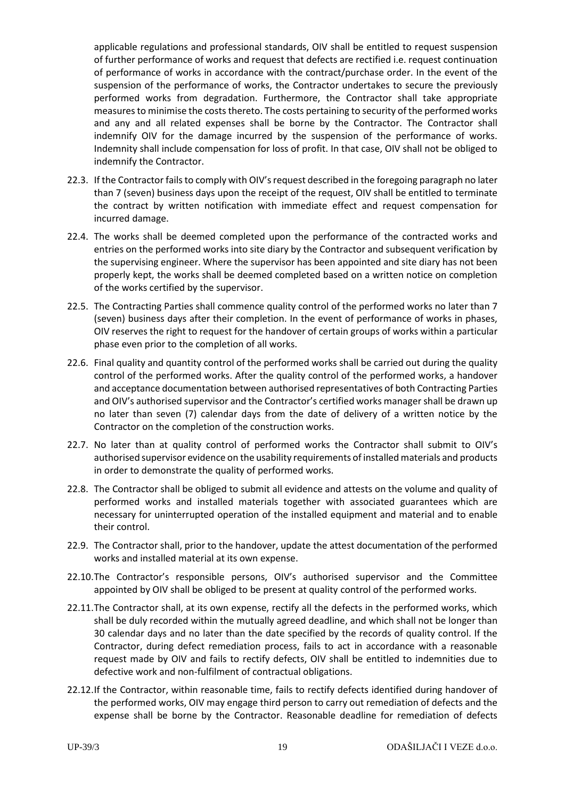applicable regulations and professional standards, OIV shall be entitled to request suspension of further performance of works and request that defects are rectified i.e. request continuation of performance of works in accordance with the contract/purchase order. In the event of the suspension of the performance of works, the Contractor undertakes to secure the previously performed works from degradation. Furthermore, the Contractor shall take appropriate measures to minimise the costs thereto. The costs pertaining to security of the performed works and any and all related expenses shall be borne by the Contractor. The Contractor shall indemnify OIV for the damage incurred by the suspension of the performance of works. Indemnity shall include compensation for loss of profit. In that case, OIV shall not be obliged to indemnify the Contractor.

- 22.3. If the Contractor fails to comply with OIV's request described in the foregoing paragraph no later than 7 (seven) business days upon the receipt of the request, OIV shall be entitled to terminate the contract by written notification with immediate effect and request compensation for incurred damage.
- 22.4. The works shall be deemed completed upon the performance of the contracted works and entries on the performed works into site diary by the Contractor and subsequent verification by the supervising engineer. Where the supervisor has been appointed and site diary has not been properly kept, the works shall be deemed completed based on a written notice on completion of the works certified by the supervisor.
- 22.5. The Contracting Parties shall commence quality control of the performed works no later than 7 (seven) business days after their completion. In the event of performance of works in phases, OIV reserves the right to request for the handover of certain groups of works within a particular phase even prior to the completion of all works.
- 22.6. Final quality and quantity control of the performed works shall be carried out during the quality control of the performed works. After the quality control of the performed works, a handover and acceptance documentation between authorised representatives of both Contracting Parties and OIV's authorised supervisor and the Contractor's certified works manager shall be drawn up no later than seven (7) calendar days from the date of delivery of a written notice by the Contractor on the completion of the construction works.
- 22.7. No later than at quality control of performed works the Contractor shall submit to OIV's authorised supervisor evidence on the usability requirements of installed materials and products in order to demonstrate the quality of performed works.
- 22.8. The Contractor shall be obliged to submit all evidence and attests on the volume and quality of performed works and installed materials together with associated guarantees which are necessary for uninterrupted operation of the installed equipment and material and to enable their control.
- 22.9. The Contractor shall, prior to the handover, update the attest documentation of the performed works and installed material at its own expense.
- 22.10.The Contractor's responsible persons, OIV's authorised supervisor and the Committee appointed by OIV shall be obliged to be present at quality control of the performed works.
- 22.11.The Contractor shall, at its own expense, rectify all the defects in the performed works, which shall be duly recorded within the mutually agreed deadline, and which shall not be longer than 30 calendar days and no later than the date specified by the records of quality control. If the Contractor, during defect remediation process, fails to act in accordance with a reasonable request made by OIV and fails to rectify defects, OIV shall be entitled to indemnities due to defective work and non-fulfilment of contractual obligations.
- 22.12.If the Contractor, within reasonable time, fails to rectify defects identified during handover of the performed works, OIV may engage third person to carry out remediation of defects and the expense shall be borne by the Contractor. Reasonable deadline for remediation of defects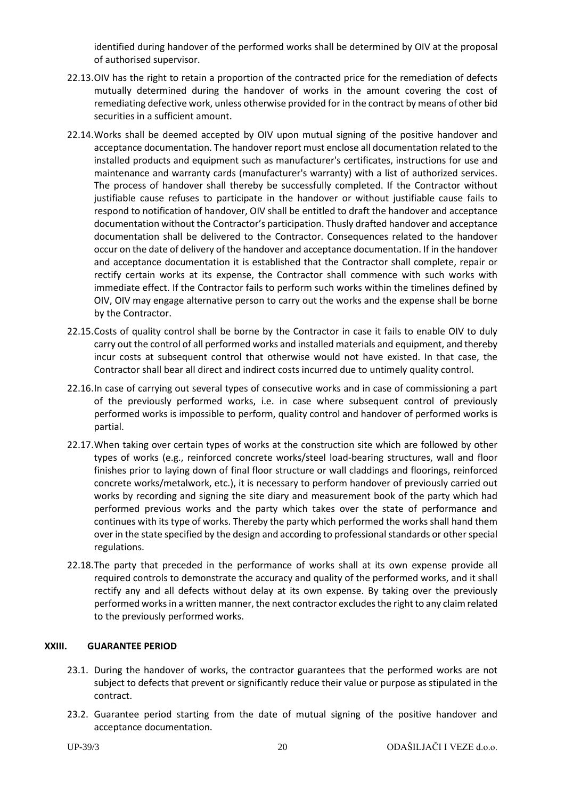identified during handover of the performed works shall be determined by OIV at the proposal of authorised supervisor.

- 22.13.OIV has the right to retain a proportion of the contracted price for the remediation of defects mutually determined during the handover of works in the amount covering the cost of remediating defective work, unless otherwise provided for in the contract by means of other bid securities in a sufficient amount.
- 22.14.Works shall be deemed accepted by OIV upon mutual signing of the positive handover and acceptance documentation. The handover report must enclose all documentation related to the installed products and equipment such as manufacturer's certificates, instructions for use and maintenance and warranty cards (manufacturer's warranty) with a list of authorized services. The process of handover shall thereby be successfully completed. If the Contractor without justifiable cause refuses to participate in the handover or without justifiable cause fails to respond to notification of handover, OIV shall be entitled to draft the handover and acceptance documentation without the Contractor's participation. Thusly drafted handover and acceptance documentation shall be delivered to the Contractor. Consequences related to the handover occur on the date of delivery of the handover and acceptance documentation. If in the handover and acceptance documentation it is established that the Contractor shall complete, repair or rectify certain works at its expense, the Contractor shall commence with such works with immediate effect. If the Contractor fails to perform such works within the timelines defined by OIV, OIV may engage alternative person to carry out the works and the expense shall be borne by the Contractor.
- 22.15.Costs of quality control shall be borne by the Contractor in case it fails to enable OIV to duly carry out the control of all performed works and installed materials and equipment, and thereby incur costs at subsequent control that otherwise would not have existed. In that case, the Contractor shall bear all direct and indirect costs incurred due to untimely quality control.
- 22.16.In case of carrying out several types of consecutive works and in case of commissioning a part of the previously performed works, i.e. in case where subsequent control of previously performed works is impossible to perform, quality control and handover of performed works is partial.
- 22.17.When taking over certain types of works at the construction site which are followed by other types of works (e.g., reinforced concrete works/steel load-bearing structures, wall and floor finishes prior to laying down of final floor structure or wall claddings and floorings, reinforced concrete works/metalwork, etc.), it is necessary to perform handover of previously carried out works by recording and signing the site diary and measurement book of the party which had performed previous works and the party which takes over the state of performance and continues with its type of works. Thereby the party which performed the works shall hand them over in the state specified by the design and according to professional standards or other special regulations.
- 22.18.The party that preceded in the performance of works shall at its own expense provide all required controls to demonstrate the accuracy and quality of the performed works, and it shall rectify any and all defects without delay at its own expense. By taking over the previously performed works in a written manner, the next contractor excludes the right to any claim related to the previously performed works.

# <span id="page-19-0"></span>**XXIII. GUARANTEE PERIOD**

- 23.1. During the handover of works, the contractor guarantees that the performed works are not subject to defects that prevent or significantly reduce their value or purpose as stipulated in the contract.
- 23.2. Guarantee period starting from the date of mutual signing of the positive handover and acceptance documentation.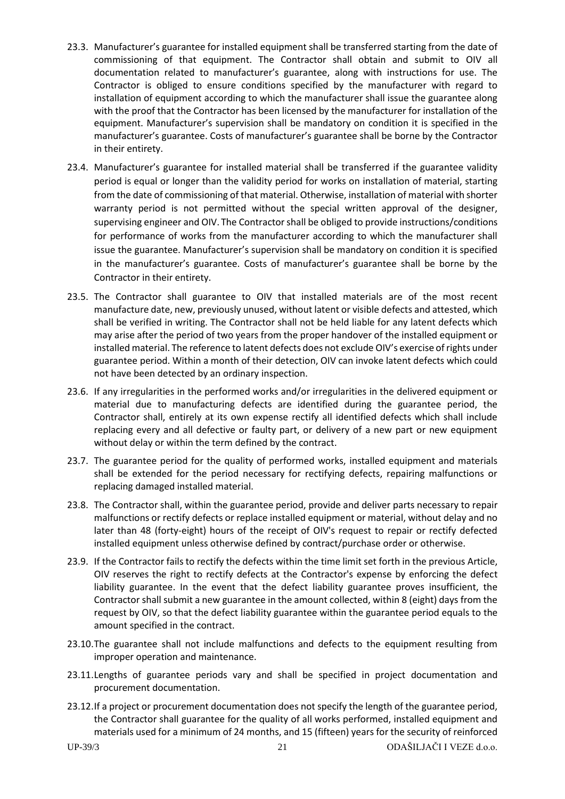- 23.3. Manufacturer's guarantee for installed equipment shall be transferred starting from the date of commissioning of that equipment. The Contractor shall obtain and submit to OIV all documentation related to manufacturer's guarantee, along with instructions for use. The Contractor is obliged to ensure conditions specified by the manufacturer with regard to installation of equipment according to which the manufacturer shall issue the guarantee along with the proof that the Contractor has been licensed by the manufacturer for installation of the equipment. Manufacturer's supervision shall be mandatory on condition it is specified in the manufacturer's guarantee. Costs of manufacturer's guarantee shall be borne by the Contractor in their entirety.
- 23.4. Manufacturer's guarantee for installed material shall be transferred if the guarantee validity period is equal or longer than the validity period for works on installation of material, starting from the date of commissioning of that material. Otherwise, installation of material with shorter warranty period is not permitted without the special written approval of the designer, supervising engineer and OIV. The Contractor shall be obliged to provide instructions/conditions for performance of works from the manufacturer according to which the manufacturer shall issue the guarantee. Manufacturer's supervision shall be mandatory on condition it is specified in the manufacturer's guarantee. Costs of manufacturer's guarantee shall be borne by the Contractor in their entirety.
- 23.5. The Contractor shall guarantee to OIV that installed materials are of the most recent manufacture date, new, previously unused, without latent or visible defects and attested, which shall be verified in writing. The Contractor shall not be held liable for any latent defects which may arise after the period of two years from the proper handover of the installed equipment or installed material. The reference to latent defects does not exclude OIV's exercise of rights under guarantee period. Within a month of their detection, OIV can invoke latent defects which could not have been detected by an ordinary inspection.
- 23.6. If any irregularities in the performed works and/or irregularities in the delivered equipment or material due to manufacturing defects are identified during the guarantee period, the Contractor shall, entirely at its own expense rectify all identified defects which shall include replacing every and all defective or faulty part, or delivery of a new part or new equipment without delay or within the term defined by the contract.
- 23.7. The guarantee period for the quality of performed works, installed equipment and materials shall be extended for the period necessary for rectifying defects, repairing malfunctions or replacing damaged installed material.
- 23.8. The Contractor shall, within the guarantee period, provide and deliver parts necessary to repair malfunctions or rectify defects or replace installed equipment or material, without delay and no later than 48 (forty-eight) hours of the receipt of OIV's request to repair or rectify defected installed equipment unless otherwise defined by contract/purchase order or otherwise.
- 23.9. If the Contractor fails to rectify the defects within the time limit set forth in the previous Article, OIV reserves the right to rectify defects at the Contractor's expense by enforcing the defect liability guarantee. In the event that the defect liability guarantee proves insufficient, the Contractor shall submit a new guarantee in the amount collected, within 8 (eight) days from the request by OIV, so that the defect liability guarantee within the guarantee period equals to the amount specified in the contract.
- 23.10.The guarantee shall not include malfunctions and defects to the equipment resulting from improper operation and maintenance.
- 23.11.Lengths of guarantee periods vary and shall be specified in project documentation and procurement documentation.
- 23.12.If a project or procurement documentation does not specify the length of the guarantee period, the Contractor shall guarantee for the quality of all works performed, installed equipment and materials used for a minimum of 24 months, and 15 (fifteen) years for the security of reinforced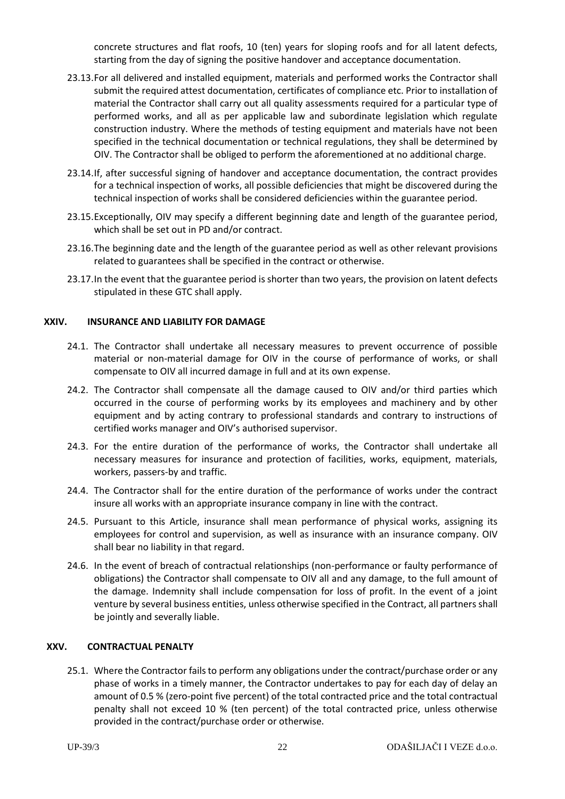concrete structures and flat roofs, 10 (ten) years for sloping roofs and for all latent defects, starting from the day of signing the positive handover and acceptance documentation.

- 23.13.For all delivered and installed equipment, materials and performed works the Contractor shall submit the required attest documentation, certificates of compliance etc. Prior to installation of material the Contractor shall carry out all quality assessments required for a particular type of performed works, and all as per applicable law and subordinate legislation which regulate construction industry. Where the methods of testing equipment and materials have not been specified in the technical documentation or technical regulations, they shall be determined by OIV. The Contractor shall be obliged to perform the aforementioned at no additional charge.
- 23.14.If, after successful signing of handover and acceptance documentation, the contract provides for a technical inspection of works, all possible deficiencies that might be discovered during the technical inspection of works shall be considered deficiencies within the guarantee period.
- 23.15.Exceptionally, OIV may specify a different beginning date and length of the guarantee period, which shall be set out in PD and/or contract.
- 23.16.The beginning date and the length of the guarantee period as well as other relevant provisions related to guarantees shall be specified in the contract or otherwise.
- 23.17.In the event that the guarantee period is shorter than two years, the provision on latent defects stipulated in these GTC shall apply.

#### <span id="page-21-0"></span>**XXIV. INSURANCE AND LIABILITY FOR DAMAGE**

- 24.1. The Contractor shall undertake all necessary measures to prevent occurrence of possible material or non-material damage for OIV in the course of performance of works, or shall compensate to OIV all incurred damage in full and at its own expense.
- 24.2. The Contractor shall compensate all the damage caused to OIV and/or third parties which occurred in the course of performing works by its employees and machinery and by other equipment and by acting contrary to professional standards and contrary to instructions of certified works manager and OIV's authorised supervisor.
- 24.3. For the entire duration of the performance of works, the Contractor shall undertake all necessary measures for insurance and protection of facilities, works, equipment, materials, workers, passers-by and traffic.
- 24.4. The Contractor shall for the entire duration of the performance of works under the contract insure all works with an appropriate insurance company in line with the contract.
- 24.5. Pursuant to this Article, insurance shall mean performance of physical works, assigning its employees for control and supervision, as well as insurance with an insurance company. OIV shall bear no liability in that regard.
- 24.6. In the event of breach of contractual relationships (non-performance or faulty performance of obligations) the Contractor shall compensate to OIV all and any damage, to the full amount of the damage. Indemnity shall include compensation for loss of profit. In the event of a joint venture by several business entities, unless otherwise specified in the Contract, all partners shall be jointly and severally liable.

#### <span id="page-21-1"></span>**XXV. CONTRACTUAL PENALTY**

<span id="page-21-2"></span>25.1. Where the Contractor fails to perform any obligations under the contract/purchase order or any phase of works in a timely manner, the Contractor undertakes to pay for each day of delay an amount of 0.5 % (zero-point five percent) of the total contracted price and the total contractual penalty shall not exceed 10 % (ten percent) of the total contracted price, unless otherwise provided in the contract/purchase order or otherwise.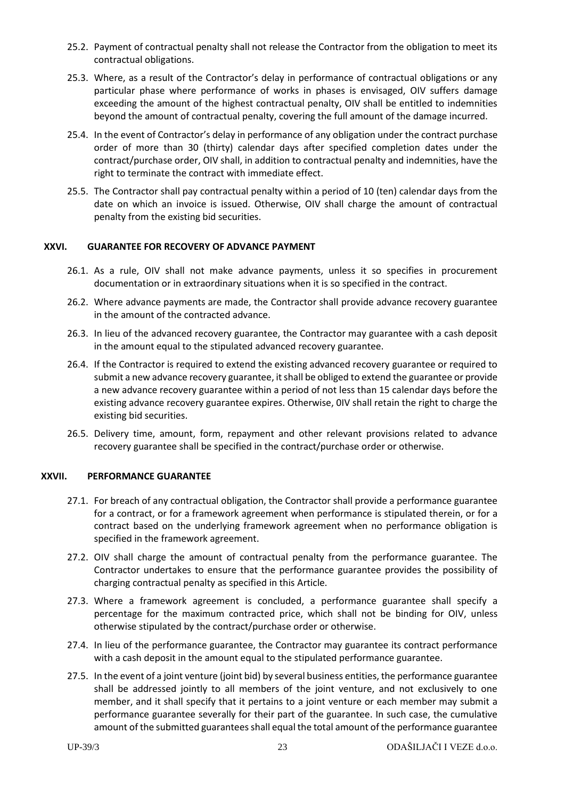- 25.2. Payment of contractual penalty shall not release the Contractor from the obligation to meet its contractual obligations.
- 25.3. Where, as a result of the Contractor's delay in performance of contractual obligations or any particular phase where performance of works in phases is envisaged, OIV suffers damage exceeding the amount of the highest contractual penalty, OIV shall be entitled to indemnities beyond the amount of contractual penalty, covering the full amount of the damage incurred.
- 25.4. In the event of Contractor's delay in performance of any obligation under the contract purchase order of more than 30 (thirty) calendar days after specified completion dates under the contract/purchase order, OIV shall, in addition to contractual penalty and indemnities, have the right to terminate the contract with immediate effect.
- 25.5. The Contractor shall pay contractual penalty within a period of 10 (ten) calendar days from the date on which an invoice is issued. Otherwise, OIV shall charge the amount of contractual penalty from the existing bid securities.

# <span id="page-22-0"></span>**XXVI. GUARANTEE FOR RECOVERY OF ADVANCE PAYMENT**

- 26.1. As a rule, OIV shall not make advance payments, unless it so specifies in procurement documentation or in extraordinary situations when it is so specified in the contract.
- 26.2. Where advance payments are made, the Contractor shall provide advance recovery guarantee in the amount of the contracted advance.
- 26.3. In lieu of the advanced recovery guarantee, the Contractor may guarantee with a cash deposit in the amount equal to the stipulated advanced recovery guarantee.
- 26.4. If the Contractor is required to extend the existing advanced recovery guarantee or required to submit a new advance recovery guarantee, it shall be obliged to extend the guarantee or provide a new advance recovery guarantee within a period of not less than 15 calendar days before the existing advance recovery guarantee expires. Otherwise, 0IV shall retain the right to charge the existing bid securities.
- 26.5. Delivery time, amount, form, repayment and other relevant provisions related to advance recovery guarantee shall be specified in the contract/purchase order or otherwise.

#### <span id="page-22-1"></span>**XXVII. PERFORMANCE GUARANTEE**

- 27.1. For breach of any contractual obligation, the Contractor shall provide a performance guarantee for a contract, or for a framework agreement when performance is stipulated therein, or for a contract based on the underlying framework agreement when no performance obligation is specified in the framework agreement.
- 27.2. OIV shall charge the amount of contractual penalty from the performance guarantee. The Contractor undertakes to ensure that the performance guarantee provides the possibility of charging contractual penalty as specified in this Article.
- 27.3. Where a framework agreement is concluded, a performance guarantee shall specify a percentage for the maximum contracted price, which shall not be binding for OIV, unless otherwise stipulated by the contract/purchase order or otherwise.
- 27.4. In lieu of the performance guarantee, the Contractor may guarantee its contract performance with a cash deposit in the amount equal to the stipulated performance guarantee.
- 27.5. In the event of a joint venture (joint bid) by several business entities, the performance guarantee shall be addressed jointly to all members of the joint venture, and not exclusively to one member, and it shall specify that it pertains to a joint venture or each member may submit a performance guarantee severally for their part of the guarantee. In such case, the cumulative amount of the submitted guarantees shall equal the total amount of the performance guarantee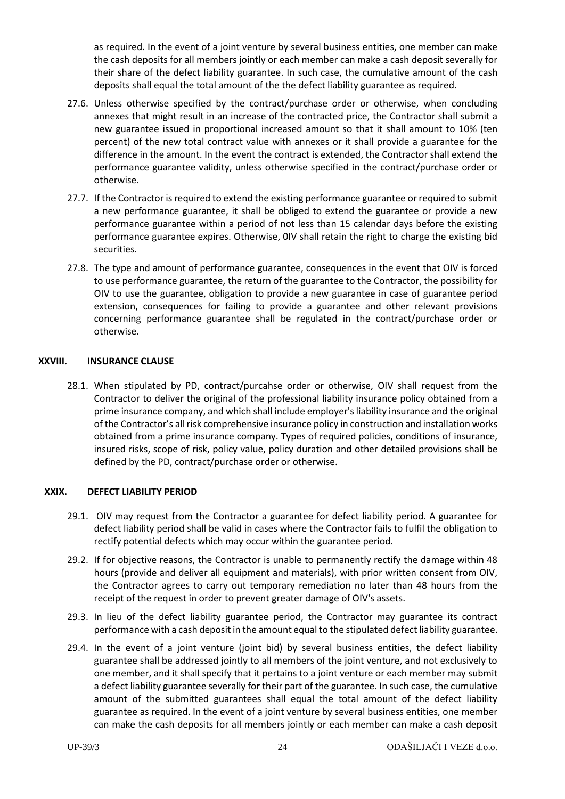as required. In the event of a joint venture by several business entities, one member can make the cash deposits for all members jointly or each member can make a cash deposit severally for their share of the defect liability guarantee. In such case, the cumulative amount of the cash deposits shall equal the total amount of the the defect liability guarantee as required.

- 27.6. Unless otherwise specified by the contract/purchase order or otherwise, when concluding annexes that might result in an increase of the contracted price, the Contractor shall submit a new guarantee issued in proportional increased amount so that it shall amount to 10% (ten percent) of the new total contract value with annexes or it shall provide a guarantee for the difference in the amount. In the event the contract is extended, the Contractor shall extend the performance guarantee validity, unless otherwise specified in the contract/purchase order or otherwise.
- 27.7. If the Contractor is required to extend the existing performance guarantee or required to submit a new performance guarantee, it shall be obliged to extend the guarantee or provide a new performance guarantee within a period of not less than 15 calendar days before the existing performance guarantee expires. Otherwise, 0IV shall retain the right to charge the existing bid securities.
- 27.8. The type and amount of performance guarantee, consequences in the event that OIV is forced to use performance guarantee, the return of the guarantee to the Contractor, the possibility for OIV to use the guarantee, obligation to provide a new guarantee in case of guarantee period extension, consequences for failing to provide a guarantee and other relevant provisions concerning performance guarantee shall be regulated in the contract/purchase order or otherwise.

#### <span id="page-23-0"></span>**XXVIII. INSURANCE CLAUSE**

28.1. When stipulated by PD, contract/purcahse order or otherwise, OIV shall request from the Contractor to deliver the original of the professional liability insurance policy obtained from a prime insurance company, and which shall include employer's liability insurance and the original of the Contractor's all risk comprehensive insurance policy in construction and installation works obtained from a prime insurance company. Types of required policies, conditions of insurance, insured risks, scope of risk, policy value, policy duration and other detailed provisions shall be defined by the PD, contract/purchase order or otherwise.

# <span id="page-23-1"></span>**XXIX. DEFECT LIABILITY PERIOD**

- 29.1. OIV may request from the Contractor a guarantee for defect liability period. A guarantee for defect liability period shall be valid in cases where the Contractor fails to fulfil the obligation to rectify potential defects which may occur within the guarantee period.
- 29.2. If for objective reasons, the Contractor is unable to permanently rectify the damage within 48 hours (provide and deliver all equipment and materials), with prior written consent from OIV, the Contractor agrees to carry out temporary remediation no later than 48 hours from the receipt of the request in order to prevent greater damage of OIV's assets.
- 29.3. In lieu of the defect liability guarantee period, the Contractor may guarantee its contract performance with a cash deposit in the amount equal to the stipulated defect liability guarantee.
- 29.4. In the event of a joint venture (joint bid) by several business entities, the defect liability guarantee shall be addressed jointly to all members of the joint venture, and not exclusively to one member, and it shall specify that it pertains to a joint venture or each member may submit a defect liability guarantee severally for their part of the guarantee. In such case, the cumulative amount of the submitted guarantees shall equal the total amount of the defect liability guarantee as required. In the event of a joint venture by several business entities, one member can make the cash deposits for all members jointly or each member can make a cash deposit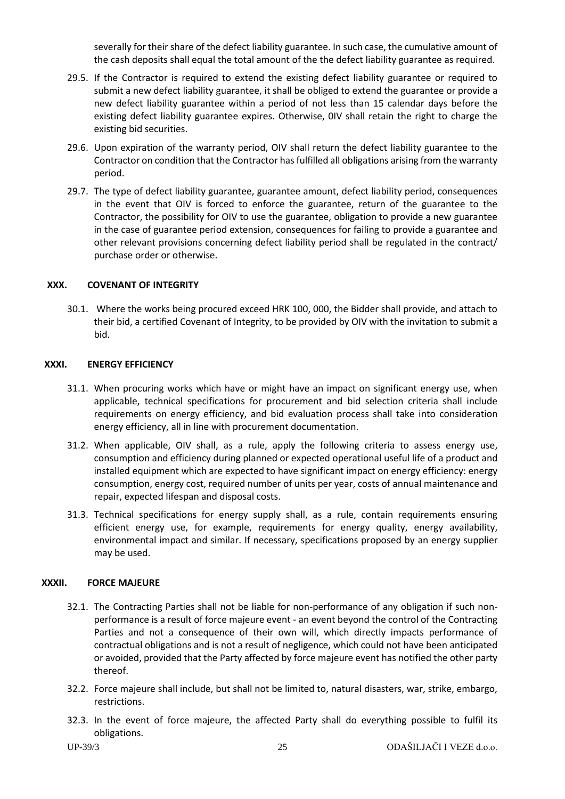severally for their share of the defect liability guarantee. In such case, the cumulative amount of the cash deposits shall equal the total amount of the the defect liability guarantee as required.

- 29.5. If the Contractor is required to extend the existing defect liability guarantee or required to submit a new defect liability guarantee, it shall be obliged to extend the guarantee or provide a new defect liability guarantee within a period of not less than 15 calendar days before the existing defect liability guarantee expires. Otherwise, 0IV shall retain the right to charge the existing bid securities.
- 29.6. Upon expiration of the warranty period, OIV shall return the defect liability guarantee to the Contractor on condition that the Contractor has fulfilled all obligations arising from the warranty period.
- 29.7. The type of defect liability guarantee, guarantee amount, defect liability period, consequences in the event that OIV is forced to enforce the guarantee, return of the guarantee to the Contractor, the possibility for OIV to use the guarantee, obligation to provide a new guarantee in the case of guarantee period extension, consequences for failing to provide a guarantee and other relevant provisions concerning defect liability period shall be regulated in the contract/ purchase order or otherwise.

#### <span id="page-24-0"></span>**XXX. COVENANT OF INTEGRITY**

30.1. Where the works being procured exceed HRK 100, 000, the Bidder shall provide, and attach to their bid, a certified Covenant of Integrity, to be provided by OIV with the invitation to submit a bid.

#### <span id="page-24-1"></span>**XXXI. ENERGY EFFICIENCY**

- 31.1. When procuring works which have or might have an impact on significant energy use, when applicable, technical specifications for procurement and bid selection criteria shall include requirements on energy efficiency, and bid evaluation process shall take into consideration energy efficiency, all in line with procurement documentation.
- 31.2. When applicable, OIV shall, as a rule, apply the following criteria to assess energy use, consumption and efficiency during planned or expected operational useful life of a product and installed equipment which are expected to have significant impact on energy efficiency: energy consumption, energy cost, required number of units per year, costs of annual maintenance and repair, expected lifespan and disposal costs.
- 31.3. Technical specifications for energy supply shall, as a rule, contain requirements ensuring efficient energy use, for example, requirements for energy quality, energy availability, environmental impact and similar. If necessary, specifications proposed by an energy supplier may be used.

#### <span id="page-24-2"></span>**XXXII. FORCE MAJEURE**

- 32.1. The Contracting Parties shall not be liable for non-performance of any obligation if such nonperformance is a result of force majeure event - an event beyond the control of the Contracting Parties and not a consequence of their own will, which directly impacts performance of contractual obligations and is not a result of negligence, which could not have been anticipated or avoided, provided that the Party affected by force majeure event has notified the other party thereof.
- 32.2. Force majeure shall include, but shall not be limited to, natural disasters, war, strike, embargo, restrictions.
- 32.3. In the event of force majeure, the affected Party shall do everything possible to fulfil its obligations.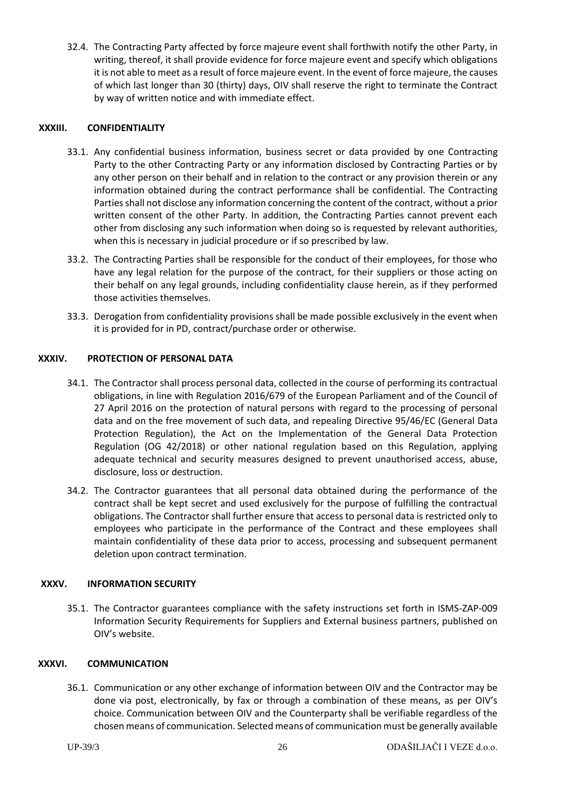32.4. The Contracting Party affected by force majeure event shall forthwith notify the other Party, in writing, thereof, it shall provide evidence for force majeure event and specify which obligations it is not able to meet as a result of force majeure event. In the event of force majeure, the causes of which last longer than 30 (thirty) days, OIV shall reserve the right to terminate the Contract by way of written notice and with immediate effect.

#### <span id="page-25-0"></span>**XXXIII. CONFIDENTIALITY**

- 33.1. Any confidential business information, business secret or data provided by one Contracting Party to the other Contracting Party or any information disclosed by Contracting Parties or by any other person on their behalf and in relation to the contract or any provision therein or any information obtained during the contract performance shall be confidential. The Contracting Parties shall not disclose any information concerning the content of the contract, without a prior written consent of the other Party. In addition, the Contracting Parties cannot prevent each other from disclosing any such information when doing so is requested by relevant authorities, when this is necessary in judicial procedure or if so prescribed by law.
- 33.2. The Contracting Parties shall be responsible for the conduct of their employees, for those who have any legal relation for the purpose of the contract, for their suppliers or those acting on their behalf on any legal grounds, including confidentiality clause herein, as if they performed those activities themselves.
- 33.3. Derogation from confidentiality provisions shall be made possible exclusively in the event when it is provided for in PD, contract/purchase order or otherwise.

#### <span id="page-25-1"></span>**XXXIV. PROTECTION OF PERSONAL DATA**

- 34.1. The Contractor shall process personal data, collected in the course of performing its contractual obligations, in line with Regulation 2016/679 of the European Parliament and of the Council of 27 April 2016 on the protection of natural persons with regard to the processing of personal data and on the free movement of such data, and repealing Directive 95/46/EC (General Data Protection Regulation), the Act on the Implementation of the General Data Protection Regulation (OG 42/2018) or other national regulation based on this Regulation, applying adequate technical and security measures designed to prevent unauthorised access, abuse, disclosure, loss or destruction.
- 34.2. The Contractor guarantees that all personal data obtained during the performance of the contract shall be kept secret and used exclusively for the purpose of fulfilling the contractual obligations. The Contractor shall further ensure that access to personal data is restricted only to employees who participate in the performance of the Contract and these employees shall maintain confidentiality of these data prior to access, processing and subsequent permanent deletion upon contract termination.

#### <span id="page-25-2"></span>**XXXV. INFORMATION SECURITY**

35.1. The Contractor guarantees compliance with the safety instructions set forth in ISMS-ZAP-009 Information Security Requirements for Suppliers and External business partners, published on OIV's website.

#### <span id="page-25-3"></span>**XXXVI. COMMUNICATION**

36.1. Communication or any other exchange of information between OIV and the Contractor may be done via post, electronically, by fax or through a combination of these means, as per OIV's choice. Communication between OIV and the Counterparty shall be verifiable regardless of the chosen means of communication. Selected means of communication must be generally available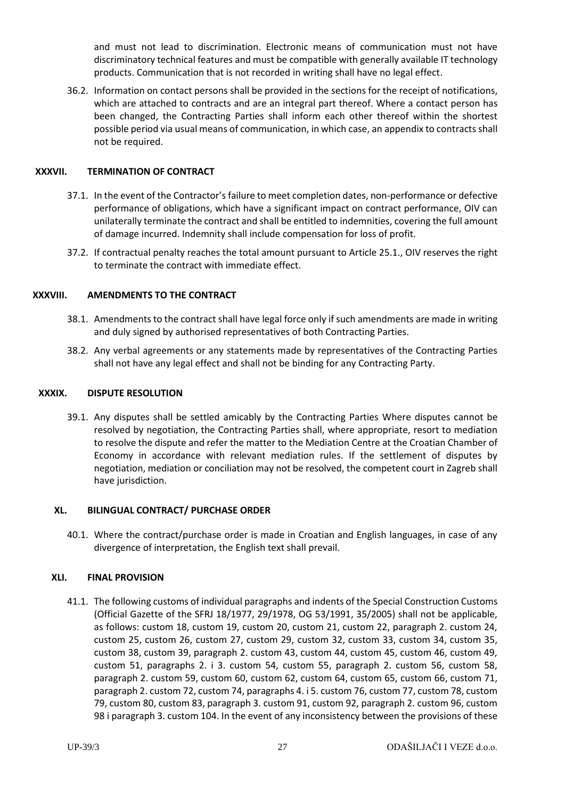and must not lead to discrimination. Electronic means of communication must not have discriminatory technical features and must be compatible with generally available IT technology products. Communication that is not recorded in writing shall have no legal effect.

36.2. Information on contact persons shall be provided in the sections for the receipt of notifications, which are attached to contracts and are an integral part thereof. Where a contact person has been changed, the Contracting Parties shall inform each other thereof within the shortest possible period via usual means of communication, in which case, an appendix to contracts shall not be required.

#### <span id="page-26-0"></span>**XXXVII. TERMINATION OF CONTRACT**

- 37.1. In the event of the Contractor's failure to meet completion dates, non-performance or defective performance of obligations, which have a significant impact on contract performance, OIV can unilaterally terminate the contract and shall be entitled to indemnities, covering the full amount of damage incurred. Indemnity shall include compensation for loss of profit.
- <span id="page-26-1"></span>37.2. If contractual penalty reaches the total amount pursuant to Articl[e 25.1.](#page-21-2), OIV reserves the right to terminate the contract with immediate effect.

#### **XXXVIII. AMENDMENTS TO THE CONTRACT**

- 38.1. Amendments to the contract shall have legal force only if such amendments are made in writing and duly signed by authorised representatives of both Contracting Parties.
- 38.2. Any verbal agreements or any statements made by representatives of the Contracting Parties shall not have any legal effect and shall not be binding for any Contracting Party.

#### <span id="page-26-2"></span>**XXXIX. DISPUTE RESOLUTION**

39.1. Any disputes shall be settled amicably by the Contracting Parties Where disputes cannot be resolved by negotiation, the Contracting Parties shall, where appropriate, resort to mediation to resolve the dispute and refer the matter to the Mediation Centre at the Croatian Chamber of Economy in accordance with relevant mediation rules. If the settlement of disputes by negotiation, mediation or conciliation may not be resolved, the competent court in Zagreb shall have jurisdiction.

#### <span id="page-26-3"></span>**XL. BILINGUAL CONTRACT/ PURCHASE ORDER**

40.1. Where the contract/purchase order is made in Croatian and English languages, in case of any divergence of interpretation, the English text shall prevail.

#### <span id="page-26-4"></span>**XLI. FINAL PROVISION**

41.1. The following customs of individual paragraphs and indents of the Special Construction Customs (Official Gazette of the SFRJ 18/1977, 29/1978, OG 53/1991, 35/2005) shall not be applicable, as follows: custom 18, custom 19, custom 20, custom 21, custom 22, paragraph 2. custom 24, custom 25, custom 26, custom 27, custom 29, custom 32, custom 33, custom 34, custom 35, custom 38, custom 39, paragraph 2. custom 43, custom 44, custom 45, custom 46, custom 49, custom 51, paragraphs 2. i 3. custom 54, custom 55, paragraph 2. custom 56, custom 58, paragraph 2. custom 59, custom 60, custom 62, custom 64, custom 65, custom 66, custom 71, paragraph 2. custom 72, custom 74, paragraphs 4. i 5. custom 76, custom 77, custom 78, custom 79, custom 80, custom 83, paragraph 3. custom 91, custom 92, paragraph 2. custom 96, custom 98 i paragraph 3. custom 104. In the event of any inconsistency between the provisions of these